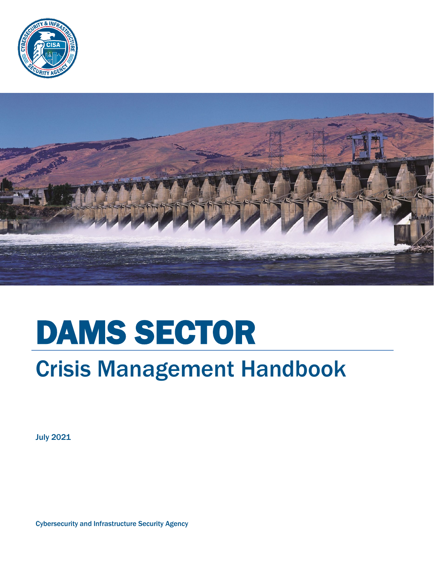



# DAMS SECTOR

# Crisis Management Handbook

July 2021

Cybersecurity and Infrastructure Security Agency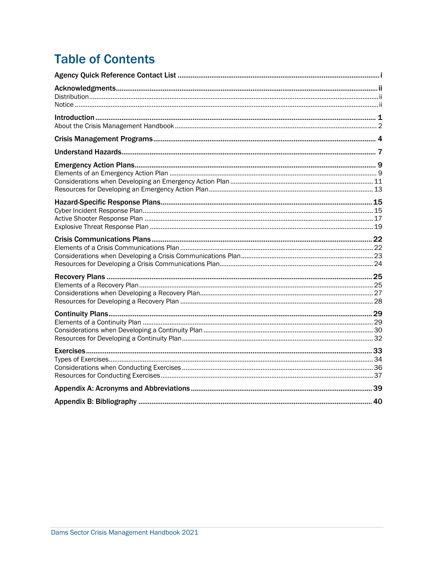# **Table of Contents**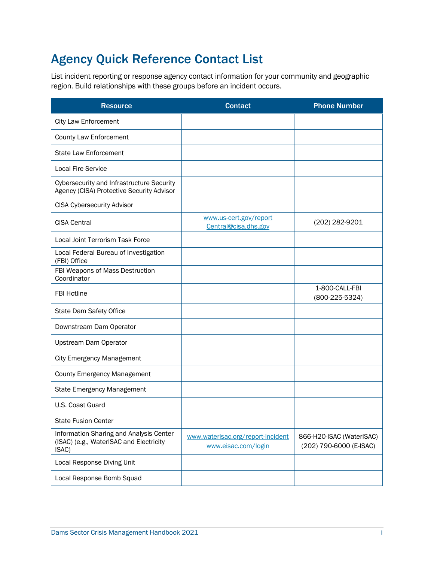# <span id="page-2-0"></span>Agency Quick Reference Contact List

 List incident reporting or response agency contact information for your community and geographic region. Build relationships with these groups before an incident occurs.

| <b>Resource</b>                                                                               | <b>Contact</b>                                           | <b>Phone Number</b>                                 |
|-----------------------------------------------------------------------------------------------|----------------------------------------------------------|-----------------------------------------------------|
| <b>City Law Enforcement</b>                                                                   |                                                          |                                                     |
| County Law Enforcement                                                                        |                                                          |                                                     |
| <b>State Law Enforcement</b>                                                                  |                                                          |                                                     |
| <b>Local Fire Service</b>                                                                     |                                                          |                                                     |
| <b>Cybersecurity and Infrastructure Security</b><br>Agency (CISA) Protective Security Advisor |                                                          |                                                     |
| <b>CISA Cybersecurity Advisor</b>                                                             |                                                          |                                                     |
| <b>CISA Central</b>                                                                           | www.us-cert.gov/report<br>Central@cisa.dhs.gov           | (202) 282-9201                                      |
| Local Joint Terrorism Task Force                                                              |                                                          |                                                     |
| Local Federal Bureau of Investigation<br>(FBI) Office                                         |                                                          |                                                     |
| FBI Weapons of Mass Destruction<br>Coordinator                                                |                                                          |                                                     |
| <b>FBI Hotline</b>                                                                            |                                                          | 1-800-CALL-FBI<br>$(800-225-5324)$                  |
| State Dam Safety Office                                                                       |                                                          |                                                     |
| Downstream Dam Operator                                                                       |                                                          |                                                     |
| Upstream Dam Operator                                                                         |                                                          |                                                     |
| <b>City Emergency Management</b>                                                              |                                                          |                                                     |
| <b>County Emergency Management</b>                                                            |                                                          |                                                     |
| State Emergency Management                                                                    |                                                          |                                                     |
| U.S. Coast Guard                                                                              |                                                          |                                                     |
| <b>State Fusion Center</b>                                                                    |                                                          |                                                     |
| Information Sharing and Analysis Center<br>(ISAC) (e.g., WaterISAC and Electricity<br>ISAC)   | www.waterisac.org/report-incident<br>www.eisac.com/login | 866-H20-ISAC (WaterISAC)<br>(202) 790-6000 (E-ISAC) |
| Local Response Diving Unit                                                                    |                                                          |                                                     |
| Local Response Bomb Squad                                                                     |                                                          |                                                     |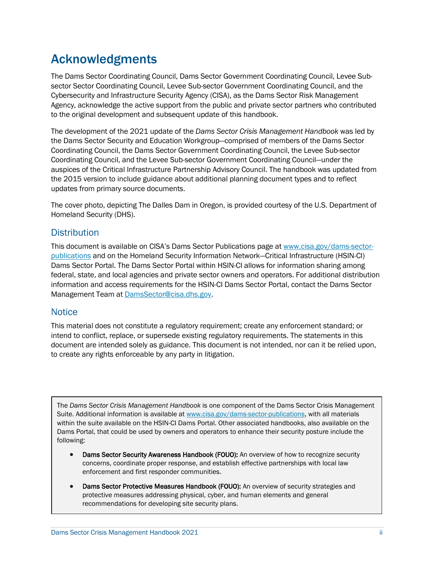# <span id="page-3-0"></span>Acknowledgments

 The Dams Sector Coordinating Council, Dams Sector Government Coordinating Council, Levee Sub- Agency, acknowledge the active support from the public and private sector partners who contributed to the original development and subsequent update of this handbook. sector Sector Coordinating Council, Levee Sub-sector Government Coordinating Council, and the Cybersecurity and Infrastructure Security Agency (CISA), as the Dams Sector Risk Management

 the Dams Sector Security and Education Workgroup—comprised of members of the Dams Sector auspices of the Critical Infrastructure Partnership Advisory Council. The handbook was updated from the 2015 version to include guidance about additional planning document types and to reflect The development of the 2021 update of the *Dams Sector Crisis Management Handbook* was led by Coordinating Council, the Dams Sector Government Coordinating Council, the Levee Sub-sector Coordinating Council, and the Levee Sub-sector Government Coordinating Council—under the updates from primary source documents.

 The cover photo, depicting The Dalles Dam in Oregon, is provided courtesy of the U.S. Department of Homeland Security (DHS).

#### <span id="page-3-1"></span>**Distribution**

This document is available on CISA's Dams Sector Publications page at [www.cisa.gov/dams-sector-](http://www.cisa.gov/dams-sector-publications) federal, state, and local agencies and private sector owners and operators. For additional distribution [publications](http://www.cisa.gov/dams-sector-publications) and on the Homeland Security Information Network—Critical Infrastructure (HSIN-CI) Dams Sector Portal. The Dams Sector Portal within HSIN-CI allows for information sharing among information and access requirements for the HSIN-CI Dams Sector Portal, contact the Dams Sector Management Team at [DamsSector@cisa.dhs.gov.](mailto:DamsSector@cisa.dhs.gov)

#### <span id="page-3-2"></span>**Notice**

 This material does not constitute a regulatory requirement; create any enforcement standard; or intend to conflict, replace, or supersede existing regulatory requirements. The statements in this document are intended solely as guidance. This document is not intended, nor can it be relied upon, to create any rights enforceable by any party in litigation.

The *Dams Sector Crisis Management Handbook* is one component of the Dams Sector Crisis Management Suite. Additional information is available at [www.cisa.gov/dams-sector-publications,](http://www.cisa.gov/dams-sector-publications) with all materials within the suite available on the HSIN-CI Dams Portal. Other associated handbooks, also available on the Dams Portal, that could be used by owners and operators to enhance their security posture include the following:

- Dams Sector Security Awareness Handbook (FOUO): An overview of how to recognize security concerns, coordinate proper response, and establish effective partnerships with local law enforcement and first responder communities.
- Dams Sector Protective Measures Handbook (FOUO): An overview of security strategies and protective measures addressing physical, cyber, and human elements and general recommendations for developing site security plans.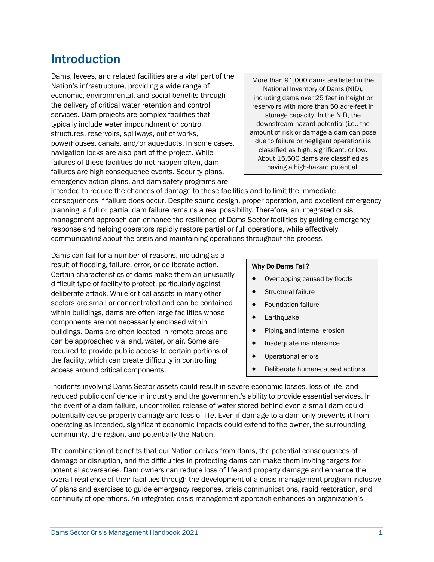# <span id="page-4-0"></span>Introduction

 Dams, levees, and related facilities are a vital part of the Nation's infrastructure, providing a wide range of economic, environmental, and social benefits through services. Dam projects are complex facilities that typically include water impoundment or control navigation locks are also part of the project. While failures of these facilities do not happen often, dam the delivery of critical water retention and control structures, reservoirs, spillways, outlet works, powerhouses, canals, and/or aqueducts. In some cases, failures are high consequence events. Security plans, emergency action plans, and dam safety programs are

 More than 91,000 dams are listed in the National Inventory of Dams (NID), including dams over 25 feet in height or reservoirs with more than 50 acre-feet in storage capacity. In the NID, the downstream hazard potential (i.e., the amount of risk or damage a dam can pose due to failure or negligent operation) is classified as high, significant, or low. About 15,500 dams are classified as having a high-hazard potential.

 intended to reduce the chances of damage to these facilities and to limit the immediate consequences if failure does occur. Despite sound design, proper operation, and excellent emergency planning, a full or partial dam failure remains a real possibility. Therefore, an integrated crisis communicating about the crisis and maintaining operations throughout the process. management approach can enhance the resilience of Dams Sector facilities by guiding emergency response and helping operators rapidly restore partial or full operations, while effectively

 Dams can fail for a number of reasons, including as a difficult type of facility to protect, particularly against sectors are small or concentrated and can be contained within buildings, dams are often large facilities whose can be approached via land, water, or air. Some are required to provide public access to certain portions of the facility, which can create difficulty in controlling result of flooding, failure, error, or deliberate action. Certain characteristics of dams make them an unusually deliberate attack. While critical assets in many other components are not necessarily enclosed within buildings. Dams are often located in remote areas and access around critical components.

#### Why Do Dams Fail?

- Overtopping caused by floods
- Structural failure
- Foundation failure
- Earthquake
- Piping and internal erosion
- Inadequate maintenance
- Operational errors
- Deliberate human-caused actions

 Incidents involving Dams Sector assets could result in severe economic losses, loss of life, and reduced public confidence in industry and the government's ability to provide essential services. In the event of a dam failure, uncontrolled release of water stored behind even a small dam could potentially cause property damage and loss of life. Even if damage to a dam only prevents it from operating as intended, significant economic impacts could extend to the owner, the surrounding community, the region, and potentially the Nation.

 damage or disruption, and the difficulties in protecting dams can make them inviting targets for of plans and exercises to guide emergency response, crisis communications, rapid restoration, and The combination of benefits that our Nation derives from dams, the potential consequences of potential adversaries. Dam owners can reduce loss of life and property damage and enhance the overall resilience of their facilities through the development of a crisis management program inclusive continuity of operations. An integrated crisis management approach enhances an organization's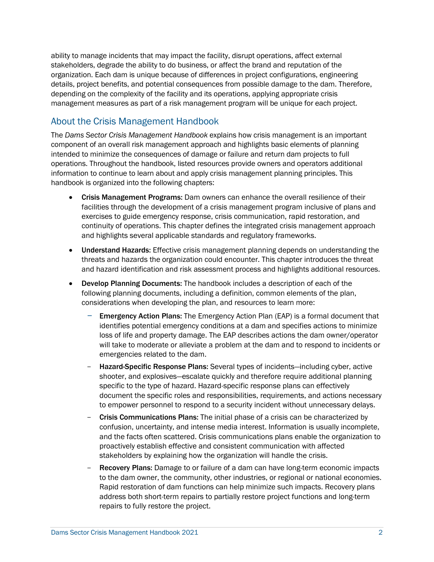ability to manage incidents that may impact the facility, disrupt operations, affect external organization. Each dam is unique because of differences in project configurations, engineering details, project benefits, and potential consequences from possible damage to the dam. Therefore, stakeholders, degrade the ability to do business, or affect the brand and reputation of the depending on the complexity of the facility and its operations, applying appropriate crisis management measures as part of a risk management program will be unique for each project.

### <span id="page-5-0"></span>About the Crisis Management Handbook

 intended to minimize the consequences of damage or failure and return dam projects to full operations. Throughout the handbook, listed resources provide owners and operators additional information to continue to learn about and apply crisis management planning principles. This The *Dams Sector Crisis Management Handbook* explains how crisis management is an important component of an overall risk management approach and highlights basic elements of planning handbook is organized into the following chapters:

- facilities through the development of a crisis management program inclusive of plans and continuity of operations. This chapter defines the integrated crisis management approach and highlights several applicable standards and regulatory frameworks. • Crisis Management Programs: Dam owners can enhance the overall resilience of their exercises to guide emergency response, crisis communication, rapid restoration, and
- threats and hazards the organization could encounter. This chapter introduces the threat and hazard identification and risk assessment process and highlights additional resources. • Understand Hazards: Effective crisis management planning depends on understanding the
- • Develop Planning Documents: The handbook includes a description of each of the following planning documents, including a definition, common elements of the plan, considerations when developing the plan, and resources to learn more:
	- Emergency Action Plans: The Emergency Action Plan (EAP) is a formal document that identifies potential emergency conditions at a dam and specifies actions to minimize loss of life and property damage. The EAP describes actions the dam owner/operator will take to moderate or alleviate a problem at the dam and to respond to incidents or emergencies related to the dam.
	- Hazard-Specific Response Plans: Several types of incidents—including cyber, active shooter, and explosives—escalate quickly and therefore require additional planning specific to the type of hazard. Hazard-specific response plans can effectively document the specific roles and responsibilities, requirements, and actions necessary to empower personnel to respond to a security incident without unnecessary delays.
	- Crisis Communications Plans: The initial phase of a crisis can be characterized by confusion, uncertainty, and intense media interest. Information is usually incomplete, and the facts often scattered. Crisis communications plans enable the organization to proactively establish effective and consistent communication with affected stakeholders by explaining how the organization will handle the crisis.
	- **Recovery Plans:** Damage to or failure of a dam can have long-term economic impacts to the dam owner, the community, other industries, or regional or national economies. Rapid restoration of dam functions can help minimize such impacts. Recovery plans address both short-term repairs to partially restore project functions and long-term repairs to fully restore the project.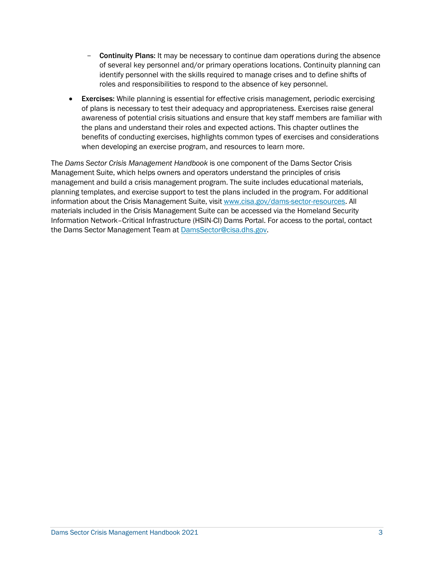- Continuity Plans: It may be necessary to continue dam operations during the absence of several key personnel and/or primary operations locations. Continuity planning can identify personnel with the skills required to manage crises and to define shifts of roles and responsibilities to respond to the absence of key personnel.
- awareness of potential crisis situations and ensure that key staff members are familiar with the plans and understand their roles and expected actions. This chapter outlines the **Exercises:** While planning is essential for effective crisis management, periodic exercising of plans is necessary to test their adequacy and appropriateness. Exercises raise general benefits of conducting exercises, highlights common types of exercises and considerations when developing an exercise program, and resources to learn more.

 The *Dams Sector Crisis Management Handbook* is one component of the Dams Sector Crisis Management Suite, which helps owners and operators understand the principles of crisis planning templates, and exercise support to test the plans included in the program. For additional information about the Crisis Management Suite, visit [www.cisa.gov/dams-sector-resources.](http://www.cisa.gov/dams-sector-resources) All management and build a crisis management program. The suite includes educational materials, materials included in the Crisis Management Suite can be accessed via the Homeland Security Information Network–Critical Infrastructure (HSIN-CI) Dams Portal. For access to the portal, contact the Dams Sector Management Team at [DamsSector@cisa.dhs.gov.](mailto:DamsSector@cisa.dhs.gov)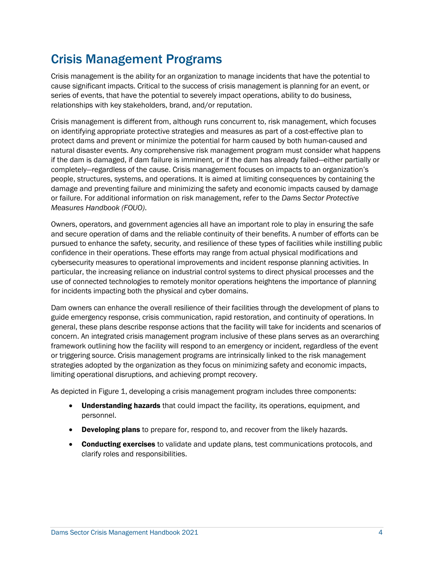# <span id="page-7-0"></span>Crisis Management Programs

 Crisis management is the ability for an organization to manage incidents that have the potential to cause significant impacts. Critical to the success of crisis management is planning for an event, or series of events, that have the potential to severely impact operations, ability to do business, relationships with key stakeholders, brand, and/or reputation.

 natural disaster events. Any comprehensive risk management program must consider what happens if the dam is damaged, if dam failure is imminent, or if the dam has already failed—either partially or completely—regardless of the cause. Crisis management focuses on impacts to an organization's Crisis management is different from, although runs concurrent to, risk management, which focuses on identifying appropriate protective strategies and measures as part of a cost-effective plan to protect dams and prevent or minimize the potential for harm caused by both human-caused and people, structures, systems, and operations. It is aimed at limiting consequences by containing the damage and preventing failure and minimizing the safety and economic impacts caused by damage or failure. For additional information on risk management, refer to the *Dams Sector Protective Measures Handbook (FOUO)*.

 Owners, operators, and government agencies all have an important role to play in ensuring the safe and secure operation of dams and the reliable continuity of their benefits. A number of efforts can be pursued to enhance the safety, security, and resilience of these types of facilities while instilling public cybersecurity measures to operational improvements and incident response planning activities. In particular, the increasing reliance on industrial control systems to direct physical processes and the for incidents impacting both the physical and cyber domains. confidence in their operations. These efforts may range from actual physical modifications and use of connected technologies to remotely monitor operations heightens the importance of planning

 Dam owners can enhance the overall resilience of their facilities through the development of plans to general, these plans describe response actions that the facility will take for incidents and scenarios of framework outlining how the facility will respond to an emergency or incident, regardless of the event strategies adopted by the organization as they focus on minimizing safety and economic impacts, limiting operational disruptions, and achieving prompt recovery. guide emergency response, crisis communication, rapid restoration, and continuity of operations. In concern. An integrated crisis management program inclusive of these plans serves as an overarching or triggering source. Crisis management programs are intrinsically linked to the risk management

As depicted in Figure 1, developing a crisis management program includes three components:

- Understanding hazards that could impact the facility, its operations, equipment, and personnel.
- **Developing plans** to prepare for, respond to, and recover from the likely hazards.
- **Conducting exercises** to validate and update plans, test communications protocols, and clarify roles and responsibilities.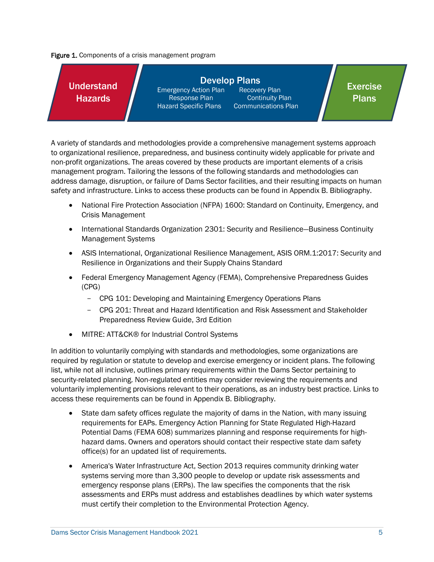Figure 1. Components of a crisis management program



 non-profit organizations. The areas covered by these products are important elements of a crisis address damage, disruption, or failure of Dams Sector facilities, and their resulting impacts on human A variety of standards and methodologies provide a comprehensive management systems approach to organizational resilience, preparedness, and business continuity widely applicable for private and management program. Tailoring the lessons of the following standards and methodologies can safety and infrastructure. Links to access these products can be found in Appendix B. Bibliography.

- • National Fire Protection Association [\(NFPA\) 1600:](http://www.nfpa.org/aboutthecodes/AboutTheCodes.asp?DocNum=1600&cookie%5Ftest=1) Standard on Continuity, Emergency, and Crisis Management
- International Standards Organization 2301: Security and Resilience—Business Continuity Management Systems
- Resilience in Organizations and their Supply Chains Standard • ASIS International, Organizational Resilience Management, ASIS ORM.1:2017: Security and
- Federal Emergency Management Agency (FEMA), Comprehensive Preparedness Guides (CPG)
	- CPG 101: Developing and Maintaining Emergency Operations Plans
	- CPG 201: Threat and Hazard Identification and Risk Assessment and Stakeholder Preparedness Review Guide, 3rd Edition
- MITRE: ATT&CK® for Industrial Control Systems

 required by regulation or statute to develop and exercise emergency or incident plans. The following list, while not all inclusive, outlines primary requirements within the Dams Sector pertaining to voluntarily implementing provisions relevant to their operations, as an industry best practice. Links to access these requirements can be found in Appendix B. Bibliography. In addition to voluntarily complying with standards and methodologies, some organizations are security-related planning. Non-regulated entities may consider reviewing the requirements and

- hazard dams. Owners and operators should contact their respective state dam safety • State dam safety offices regulate the majority of dams in the Nation, with many issuing requirements for EAPs. Emergency Action Planning for State Regulated High-Hazard Potential Dams (FEMA 608) summarizes planning and response requirements for highoffice(s) for an updated list of requirements.
- America's Water Infrastructure Act, Section 2013 requires community drinking water systems serving more than 3,300 people to develop or update risk assessments and emergency response plans (ERPs). The law specifies the components that the risk assessments and ERPs must address and establishes deadlines by which water systems must certify their completion to the Environmental Protection Agency.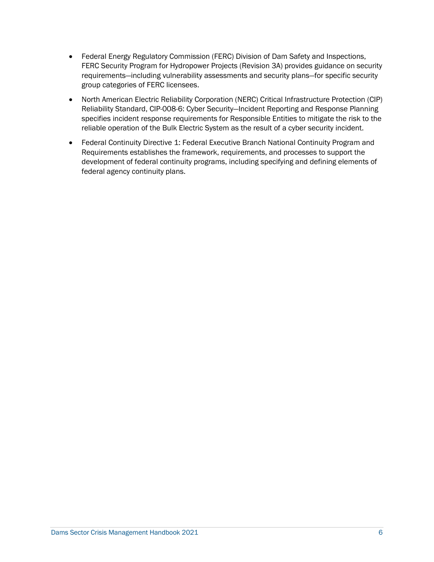- Federal Energy Regulatory Commission (FERC) Division of Dam Safety and Inspections, FERC Security Program for Hydropower Projects (Revision 3A) provides guidance on security requirements—including vulnerability assessments and security plans—for specific security group categories of FERC licensees.
- reliable operation of the Bulk Electric System as the result of a cyber security incident. • North American Electric Reliability Corporation (NERC) Critical Infrastructure Protection (CIP) Reliability Standard, CIP-008-6: Cyber Security—Incident Reporting and Response Planning specifies incident response requirements for Responsible Entities to mitigate the risk to the
- <span id="page-9-0"></span> • Federal Continuity Directive 1: Federal Executive Branch National Continuity Program and Requirements establishes the framework, requirements, and processes to support the development of federal continuity programs, including specifying and defining elements of federal agency continuity plans.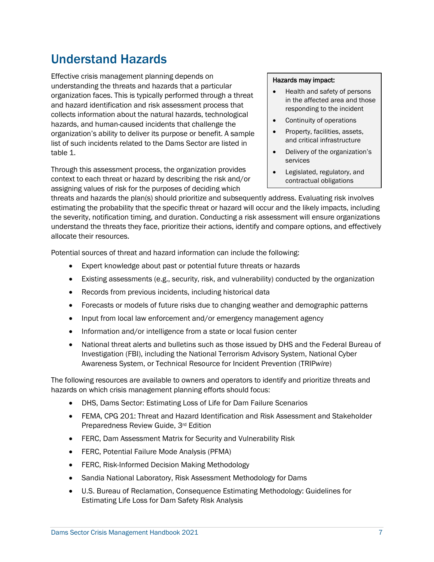# Understand Hazards

Effective crisis management planning depends on understanding the threats and hazards that a particular organization faces. This is typically performed through a threat and hazard identification and risk assessment process that collects information about the natural hazards, technological hazards, and human-caused incidents that challenge the organization's ability to deliver its purpose or benefit. A sample list of such incidents related to the Dams Sector are listed in table 1.

Through this assessment process, the organization provides context to each threat or hazard by describing the risk and/or assigning values of risk for the purposes of deciding which

#### Hazards may impact:

- Health and safety of persons in the affected area and those responding to the incident
- Continuity of operations
- Property, facilities, assets, and critical infrastructure
- Delivery of the organization's services
- Legislated, regulatory, and contractual obligations

threats and hazards the plan(s) should prioritize and subsequently address. Evaluating risk involves estimating the probability that the specific threat or hazard will occur and the likely impacts, including the severity, notification timing, and duration. Conducting a risk assessment will ensure organizations understand the threats they face, prioritize their actions, identify and compare options, and effectively allocate their resources.

Potential sources of threat and hazard information can include the following:

- Expert knowledge about past or potential future threats or hazards
- Existing assessments (e.g., security, risk, and vulnerability) conducted by the organization
- Records from previous incidents, including historical data
- Forecasts or models of future risks due to changing weather and demographic patterns
- Input from local law enforcement and/or emergency management agency
- Information and/or intelligence from a state or local fusion center
- National threat alerts and bulletins such as those issued by DHS and the Federal Bureau of Investigation (FBI), including the National Terrorism Advisory System, National Cyber Awareness System, or Technical Resource for Incident Prevention (TRIP*wire*)

The following resources are available to owners and operators to identify and prioritize threats and hazards on which crisis management planning efforts should focus:

- DHS, Dams Sector: Estimating Loss of Life for Dam Failure Scenarios
- FEMA, CPG 201: Threat and Hazard Identification and Risk Assessment and Stakeholder Preparedness Review Guide, 3rd Edition
- FERC, Dam Assessment Matrix for Security and Vulnerability Risk
- FERC, Potential Failure Mode Analysis (PFMA)
- FERC, Risk-Informed Decision Making Methodology
- Sandia National Laboratory, Risk Assessment Methodology for Dams
- U.S. Bureau of Reclamation, Consequence Estimating Methodology: Guidelines for Estimating Life Loss for Dam Safety Risk Analysis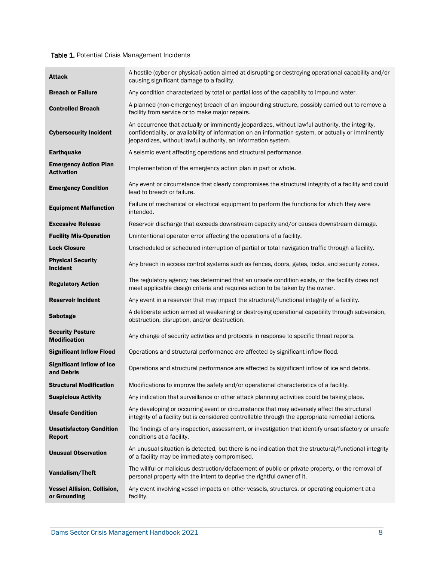#### Table 1. Potential Crisis Management Incidents

| <b>Attack</b>                                      | A hostile (cyber or physical) action aimed at disrupting or destroying operational capability and/or<br>causing significant damage to a facility.                                                                                                                       |
|----------------------------------------------------|-------------------------------------------------------------------------------------------------------------------------------------------------------------------------------------------------------------------------------------------------------------------------|
| <b>Breach or Failure</b>                           | Any condition characterized by total or partial loss of the capability to impound water.                                                                                                                                                                                |
| <b>Controlled Breach</b>                           | A planned (non-emergency) breach of an impounding structure, possibly carried out to remove a<br>facility from service or to make major repairs.                                                                                                                        |
| <b>Cybersecurity Incident</b>                      | An occurrence that actually or imminently jeopardizes, without lawful authority, the integrity,<br>confidentiality, or availability of information on an information system, or actually or imminently<br>jeopardizes, without lawful authority, an information system. |
| <b>Earthquake</b>                                  | A seismic event affecting operations and structural performance.                                                                                                                                                                                                        |
| <b>Emergency Action Plan</b><br><b>Activation</b>  | Implementation of the emergency action plan in part or whole.                                                                                                                                                                                                           |
| <b>Emergency Condition</b>                         | Any event or circumstance that clearly compromises the structural integrity of a facility and could<br>lead to breach or failure.                                                                                                                                       |
| <b>Equipment Malfunction</b>                       | Failure of mechanical or electrical equipment to perform the functions for which they were<br>intended.                                                                                                                                                                 |
| <b>Excessive Release</b>                           | Reservoir discharge that exceeds downstream capacity and/or causes downstream damage.                                                                                                                                                                                   |
| <b>Facility Mis-Operation</b>                      | Unintentional operator error affecting the operations of a facility.                                                                                                                                                                                                    |
| <b>Lock Closure</b>                                | Unscheduled or scheduled interruption of partial or total navigation traffic through a facility.                                                                                                                                                                        |
| <b>Physical Security</b><br><b>Incident</b>        | Any breach in access control systems such as fences, doors, gates, locks, and security zones.                                                                                                                                                                           |
| <b>Regulatory Action</b>                           | The regulatory agency has determined that an unsafe condition exists, or the facility does not<br>meet applicable design criteria and requires action to be taken by the owner.                                                                                         |
| <b>Reservoir Incident</b>                          | Any event in a reservoir that may impact the structural/functional integrity of a facility.                                                                                                                                                                             |
| <b>Sabotage</b>                                    | A deliberate action aimed at weakening or destroying operational capability through subversion,<br>obstruction, disruption, and/or destruction.                                                                                                                         |
| <b>Security Posture</b><br><b>Modification</b>     | Any change of security activities and protocols in response to specific threat reports.                                                                                                                                                                                 |
| <b>Significant Inflow Flood</b>                    | Operations and structural performance are affected by significant inflow flood.                                                                                                                                                                                         |
| <b>Significant Inflow of Ice</b><br>and Debris     | Operations and structural performance are affected by significant inflow of ice and debris.                                                                                                                                                                             |
| <b>Structural Modification</b>                     | Modifications to improve the safety and/or operational characteristics of a facility.                                                                                                                                                                                   |
| <b>Suspicious Activity</b>                         | Any indication that surveillance or other attack planning activities could be taking place.                                                                                                                                                                             |
| <b>Unsafe Condition</b>                            | Any developing or occurring event or circumstance that may adversely affect the structural<br>integrity of a facility but is considered controllable through the appropriate remedial actions.                                                                          |
| <b>Unsatisfactory Condition</b><br><b>Report</b>   | The findings of any inspection, assessment, or investigation that identify unsatisfactory or unsafe<br>conditions at a facility.                                                                                                                                        |
| <b>Unusual Observation</b>                         | An unusual situation is detected, but there is no indication that the structural/functional integrity<br>of a facility may be immediately compromised.                                                                                                                  |
| Vandalism/Theft                                    | The willful or malicious destruction/defacement of public or private property, or the removal of<br>personal property with the intent to deprive the rightful owner of it.                                                                                              |
| <b>Vessel Allision, Collision,</b><br>or Grounding | Any event involving vessel impacts on other vessels, structures, or operating equipment at a<br>facility.                                                                                                                                                               |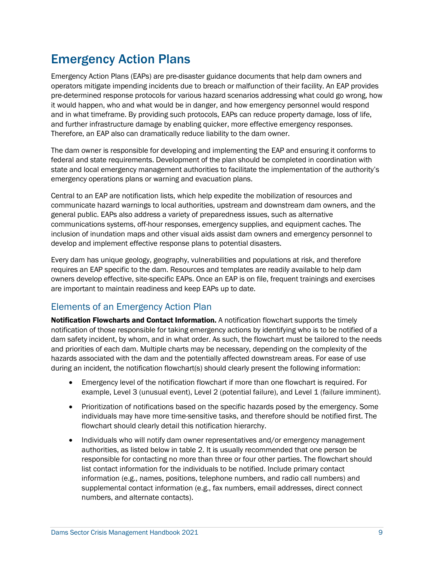# <span id="page-12-0"></span>Emergency Action Plans

 pre-determined response protocols for various hazard scenarios addressing what could go wrong, how it would happen, who and what would be in danger, and how emergency personnel would respond and in what timeframe. By providing such protocols, EAPs can reduce property damage, loss of life, Therefore, an EAP also can dramatically reduce liability to the dam owner. Emergency Action Plans (EAPs) are pre-disaster guidance documents that help dam owners and operators mitigate impending incidents due to breach or malfunction of their facility. An EAP provides and further infrastructure damage by enabling quicker, more effective emergency responses.

 The dam owner is responsible for developing and implementing the EAP and ensuring it conforms to federal and state requirements. Development of the plan should be completed in coordination with state and local emergency management authorities to facilitate the implementation of the authority's emergency operations plans or warning and evacuation plans.

 Central to an EAP are notification lists, which help expedite the mobilization of resources and communications systems, off-hour responses, emergency supplies, and equipment caches. The inclusion of inundation maps and other visual aids assist dam owners and emergency personnel to communicate hazard warnings to local authorities, upstream and downstream dam owners, and the general public. EAPs also address a variety of preparedness issues, such as alternative develop and implement effective response plans to potential disasters.

 Every dam has unique geology, geography, vulnerabilities and populations at risk, and therefore requires an EAP specific to the dam. Resources and templates are readily available to help dam owners develop effective, site-specific EAPs. Once an EAP is on file, frequent trainings and exercises are important to maintain readiness and keep EAPs up to date.

## <span id="page-12-1"></span>Elements of an Emergency Action Plan

 notification of those responsible for taking emergency actions by identifying who is to be notified of a dam safety incident, by whom, and in what order. As such, the flowchart must be tailored to the needs and priorities of each dam. Multiple charts may be necessary, depending on the complexity of the hazards associated with the dam and the potentially affected downstream areas. For ease of use during an incident, the notification flowchart(s) should clearly present the following information: **Notification Flowcharts and Contact Information.** A notification flowchart supports the timely

- • Emergency level of the notification flowchart if more than one flowchart is required. For example, Level 3 (unusual event), Level 2 (potential failure), and Level 1 (failure imminent).
- individuals may have more time-sensitive tasks, and therefore should be notified first. The • Prioritization of notifications based on the specific hazards posed by the emergency. Some flowchart should clearly detail this notification hierarchy.
- supplemental contact information (e.g., fax numbers, email addresses, direct connect • Individuals who will notify dam owner representatives and/or emergency management authorities, as listed below in table 2. It is usually recommended that one person be responsible for contacting no more than three or four other parties. The flowchart should list contact information for the individuals to be notified. Include primary contact information (e.g., names, positions, telephone numbers, and radio call numbers) and numbers, and alternate contacts).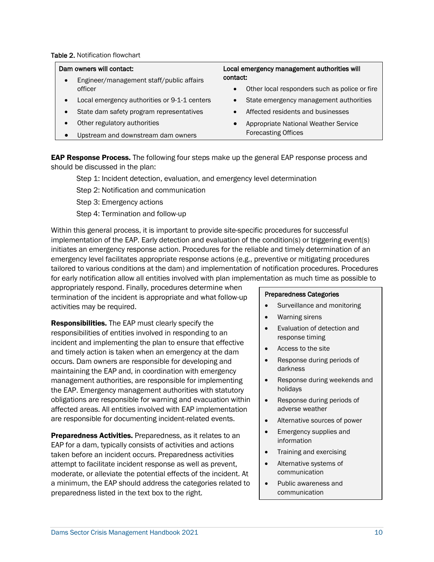#### Table 2. Notification flowchart

- Engineer/management staff/public affairs contact:
- Local emergency authorities or 9-1-1 centers
- State dam safety program representatives
- Other regulatory authorities
- Upstream and downstream dam owners

# Dam owners will contact: Local emergency management authorities will

- officer Other local responders such as police or fire
	- State emergency management authorities
	- Affected residents and businesses
	- Appropriate National Weather Service Forecasting Offices

**EAP Response Process.** The following four steps make up the general EAP response process and should be discussed in the plan:

Step 1: Incident detection, evaluation, and emergency level determination

Step 2: Notification and communication

Step 3: Emergency actions

Step 4: Termination and follow-up

 implementation of the EAP. Early detection and evaluation of the condition(s) or triggering event(s) initiates an emergency response action. Procedures for the reliable and timely determination of an for early notification allow all entities involved with plan implementation as much time as possible to Within this general process, it is important to provide site-specific procedures for successful emergency level facilitates appropriate response actions (e.g., preventive or mitigating procedures tailored to various conditions at the dam) and implementation of notification procedures. Procedures

 termination of the incident is appropriate and what follow-up appropriately respond. Finally, procedures determine when activities may be required.

 responsibilities of entities involved in responding to an and timely action is taken when an emergency at the dam occurs. Dam owners are responsible for developing and obligations are responsible for warning and evacuation within are responsible for documenting incident-related events. Responsibilities. The EAP must clearly specify the incident and implementing the plan to ensure that effective maintaining the EAP and, in coordination with emergency management authorities, are responsible for implementing the EAP. Emergency management authorities with statutory affected areas. All entities involved with EAP implementation

Preparedness Activities. Preparedness, as it relates to an moderate, or alleviate the potential effects of the incident. At a minimum, the EAP should address the categories related to preparedness listed in the text box to the right. EAP for a dam, typically consists of activities and actions taken before an incident occurs. Preparedness activities attempt to facilitate incident response as well as prevent,

#### Preparedness Categories

- Surveillance and monitoring
- Warning sirens
- Evaluation of detection and response timing
- Access to the site
- Response during periods of darkness
- Response during weekends and holidays
- Response during periods of adverse weather
- Alternative sources of power
- Emergency supplies and information
- Training and exercising
- Alternative systems of communication
- Public awareness and communication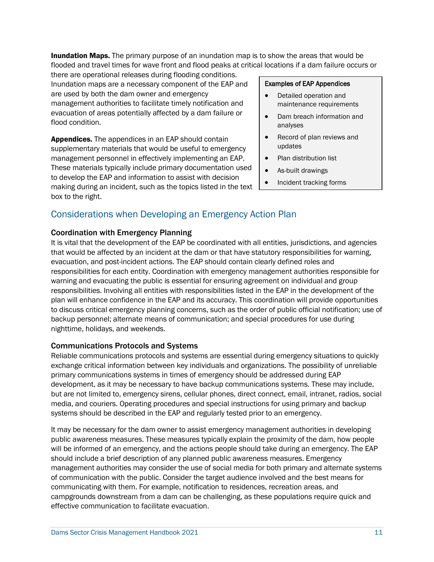**Inundation Maps.** The primary purpose of an inundation map is to show the areas that would be flooded and travel times for wave front and flood peaks at critical locations if a dam failure occurs or

there are operational releases during flooding conditions. Inundation maps are a necessary component of the EAP and are used by both the dam owner and emergency management authorities to facilitate timely notification and evacuation of areas potentially affected by a dam failure or flood condition. The condition of the condition of the condition of the condition of the condition of the condition of the condition of the condition of the condition of the condition of the condition of the condition of t

Appendices. The appendices in an EAP should contain supplementary materials that would be useful to emergency management personnel in effectively implementing an EAP. These materials typically include primary documentation used to develop the EAP and information to assist with decision making during an incident, such as the topics listed in the text box to the right.

# <span id="page-14-0"></span>Considerations when Developing an Emergency Action Plan

#### Coordination with Emergency Planning

 It is vital that the development of the EAP be coordinated with all entities, jurisdictions, and agencies that would be affected by an incident at the dam or that have statutory responsibilities for warning, evacuation, and post-incident actions. The EAP should contain clearly defined roles and warning and evacuating the public is essential for ensuring agreement on individual and group plan will enhance confidence in the EAP and its accuracy. This coordination will provide opportunities to discuss critical emergency planning concerns, such as the order of public official notification; use of responsibilities for each entity. Coordination with emergency management authorities responsible for responsibilities. Involving all entities with responsibilities listed in the EAP in the development of the backup personnel; alternate means of communication; and special procedures for use during nighttime, holidays, and weekends.

#### Communications Protocols and Systems

 Reliable communications protocols and systems are essential during emergency situations to quickly exchange critical information between key individuals and organizations. The possibility of unreliable primary communications systems in times of emergency should be addressed during EAP development, as it may be necessary to have backup communications systems. These may include, but are not limited to, emergency sirens, cellular phones, direct connect, email, intranet, radios, social systems should be described in the EAP and regularly tested prior to an emergency. media, and couriers. Operating procedures and special instructions for using primary and backup

 public awareness measures. These measures typically explain the proximity of the dam, how people management authorities may consider the use of social media for both primary and alternate systems of communication with the public. Consider the target audience involved and the best means for communicating with them. For example, notification to residences, recreation areas, and campgrounds downstream from a dam can be challenging, as these populations require quick and It may be necessary for the dam owner to assist emergency management authorities in developing will be informed of an emergency, and the actions people should take during an emergency. The EAP should include a brief description of any planned public awareness measures. Emergency effective communication to facilitate evacuation.

- Detailed operation and maintenance requirements
- Dam breach information and
- Record of plan reviews and updates
- Plan distribution list
- As-built drawings
- Incident tracking forms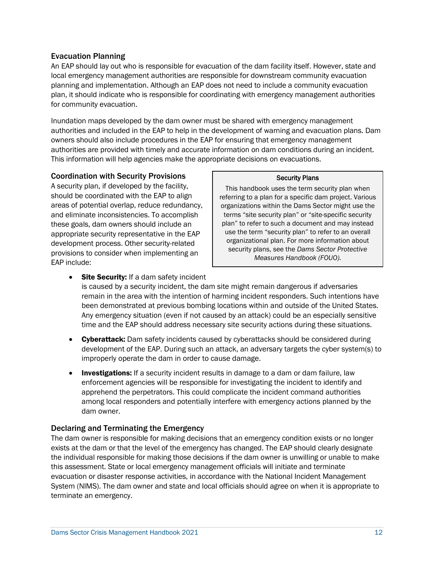#### Evacuation Planning

 An EAP should lay out who is responsible for evacuation of the dam facility itself. However, state and planning and implementation. Although an EAP does not need to include a community evacuation for community evacuation. local emergency management authorities are responsible for downstream community evacuation plan, it should indicate who is responsible for coordinating with emergency management authorities

for community evacuation.<br>Inundation maps developed by the dam owner must be shared with emergency management authorities and included in the EAP to help in the development of warning and evacuation plans. Dam owners should also include procedures in the EAP for ensuring that emergency management authorities are provided with timely and accurate information on dam conditions during an incident. This information will help agencies make the appropriate decisions on evacuations.

#### Coordination with Security Provisions

 A security plan, if developed by the facility, these goals, dam owners should include an appropriate security representative in the EAP provisions to consider when implementing an should be coordinated with the EAP to align areas of potential overlap, reduce redundancy, and eliminate inconsistencies. To accomplish development process. Other security-related EAP include:

#### Security Plans

 use the term "security plan" to refer to an overall This handbook uses the term security plan when referring to a plan for a specific dam project. Various organizations within the Dams Sector might use the terms "site security plan" or "site-specific security plan" to refer to such a document and may instead organizational plan. For more information about security plans, see the *Dams Sector Protective Measures Handbook (FOUO).* 

- Any emergency situation (even if not caused by an attack) could be an especially sensitive • Site Security: If a dam safety incident is caused by a security incident, the dam site might remain dangerous if adversaries remain in the area with the intention of harming incident responders. Such intentions have been demonstrated at previous bombing locations within and outside of the United States. time and the EAP should address necessary site security actions during these situations.
- Cyberattack: Dam safety incidents caused by cyberattacks should be considered during development of the EAP. During such an attack, an adversary targets the cyber system(s) to improperly operate the dam in order to cause damage.
- **Investigations:** If a security incident results in damage to a dam or dam failure, law apprehend the perpetrators. This could complicate the incident command authorities enforcement agencies will be responsible for investigating the incident to identify and among local responders and potentially interfere with emergency actions planned by the dam owner.

#### Declaring and Terminating the Emergency

 The dam owner is responsible for making decisions that an emergency condition exists or no longer exists at the dam or that the level of the emergency has changed. The EAP should clearly designate this assessment. State or local emergency management officials will initiate and terminate evacuation or disaster response activities, in accordance with the National Incident Management System (NIMS). The dam owner and state and local officials should agree on when it is appropriate to the individual responsible for making those decisions if the dam owner is unwilling or unable to make terminate an emergency.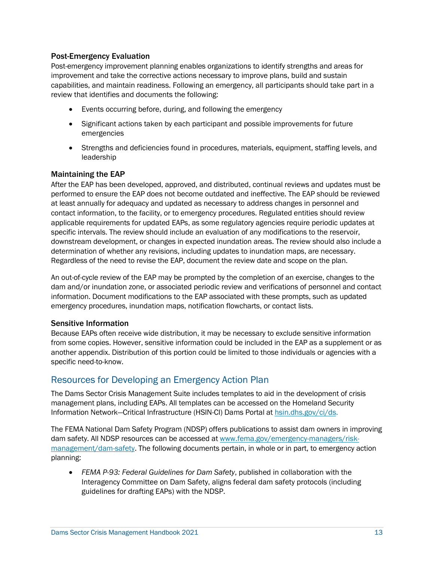#### Post-Emergency Evaluation

 improvement and take the corrective actions necessary to improve plans, build and sustain Post-emergency improvement planning enables organizations to identify strengths and areas for capabilities, and maintain readiness. Following an emergency, all participants should take part in a review that identifies and documents the following:

- Events occurring before, during, and following the emergency
- • Significant actions taken by each participant and possible improvements for future emergencies
- Strengths and deficiencies found in procedures, materials, equipment, staffing levels, and l eadership

#### Maintaining the EAP

 After the EAP has been developed, approved, and distributed, continual reviews and updates must be performed to ensure the EAP does not become outdated and ineffective. The EAP should be reviewed contact information, to the facility, or to emergency procedures. Regulated entities should review specific intervals. The review should include an evaluation of any modifications to the reservoir, downstream development, or changes in expected inundation areas. The review should also include a determination of whether any revisions, including updates to inundation maps, are necessary. Regardless of the need to revise the EAP, document the review date and scope on the plan. at least annually for adequacy and updated as necessary to address changes in personnel and applicable requirements for updated EAPs, as some regulatory agencies require periodic updates at

 An out-of-cycle review of the EAP may be prompted by the completion of an exercise, changes to the information. Document modifications to the EAP associated with these prompts, such as updated dam and/or inundation zone, or associated periodic review and verifications of personnel and contact emergency procedures, inundation maps, notification flowcharts, or contact lists.

#### Sensitive Information

 Because EAPs often receive wide distribution, it may be necessary to exclude sensitive information from some copies. However, sensitive information could be included in the EAP as a supplement or as another appendix. Distribution of this portion could be limited to those individuals or agencies with a specific need-to-know.

### <span id="page-16-0"></span>Resources for Developing an Emergency Action Plan

 The Dams Sector Crisis Management Suite includes templates to aid in the development of crisis Information Network—Critical Infrastructure (HSIN-CI) Dams Portal at <u>hsin.dhs.gov/ci/ds</u>. management plans, including EAPs. All templates can be accessed on the Homeland Security

 The FEMA National Dam Safety Program (NDSP) offers publications to assist dam owners in improving dam safety. All NDSP resources can be accessed at [www.fema.gov/emergency-managers/risk-](http://www.fema.gov/emergency-managers/risk-management/dam-safety) [management/dam-safety.](http://www.fema.gov/emergency-managers/risk-management/dam-safety) The following documents pertain, in whole or in part, to emergency action planning:

 • *FEMA P-93: Federal Guidelines for Dam Safety*, published in collaboration with the guidelines for drafting EAPs) with the NDSP. Interagency Committee on Dam Safety, aligns federal dam safety protocols (including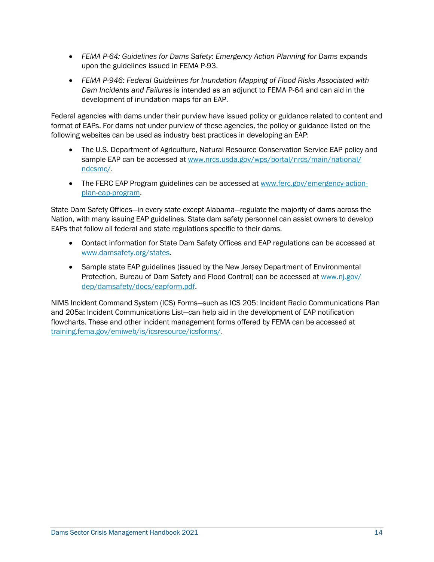- FEMA P-64: Guidelines for Dams Safety: Emergency Action Planning for Dams expands upon the guidelines issued in FEMA P-93.
- *Dam Incidents and Failures* is intended as an adjunct to FEMA P-64 and can aid in the • *FEMA P-946: Federal Guidelines for Inundation Mapping of Flood Risks Associated with*  development of inundation maps for an EAP.

 Federal agencies with dams under their purview have issued policy or guidance related to content and format of EAPs. For dams not under purview of these agencies, the policy or guidance listed on the following websites can be used as industry best practices in developing an EAP:

- • The U.S. Department of Agriculture, Natural Resource Conservation Service EAP policy and sample EAP can be accessed at [www.nrcs.usda.gov/wps/portal/nrcs/main/national/](http://www.nrcs.usda.gov/wps/portal/nrcs/main/national/ndcsmc/)  [ndcsmc/.](http://www.nrcs.usda.gov/wps/portal/nrcs/main/national/ndcsmc/)
- The FERC EAP Program guidelines can be accessed at [www.ferc.gov/emergency-action](http://www.ferc.gov/emergency-action-plan-eap-program)[plan-eap-program.](http://www.ferc.gov/emergency-action-plan-eap-program)

 Nation, with many issuing EAP guidelines. State dam safety personnel can assist owners to develop EAPs that follow all federal and state regulations specific to their dams. State Dam Safety Offices—in every state except Alabama—regulate the majority of dams across the

- Contact information for State Dam Safety Offices and EAP regulations can be accessed at [www.damsafety.org/states.](https://damsafety.org/states)
- Protection, Bureau of Dam Safety and Flood Control) can be accessed at www.nj.gov/ • Sample state EAP guidelines (issued by the New Jersey Department of Environmental [dep/damsafety/docs/eapform.pdf.](http://www.nj.gov/dep/damsafety/docs/eapform.pdf)

NIMS Incident Command System (ICS) Forms—such as ICS 205: Incident Radio Communications Plan and 205a: Incident Communications List—can help aid in the development of EAP notification flowcharts. These and other incident management forms offered by FEMA can be accessed at [training.fema.gov/emiweb/is/icsresource/icsforms/.](https://training.fema.gov/emiweb/is/icsresource/icsforms/)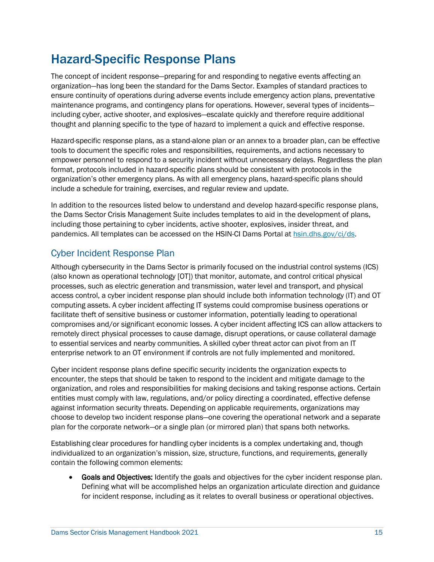# <span id="page-18-0"></span>Hazard-Specific Response Plans

 organization—has long been the standard for the Dams Sector. Examples of standard practices to ensure continuity of operations during adverse events include emergency action plans, preventative thought and planning specific to the type of hazard to implement a quick and effective response. The concept of incident response—preparing for and responding to negative events affecting an maintenance programs, and contingency plans for operations. However, several types of incidents including cyber, active shooter, and explosives—escalate quickly and therefore require additional

 Hazard-specific response plans, as a stand-alone plan or an annex to a broader plan, can be effective tools to document the specific roles and responsibilities, requirements, and actions necessary to empower personnel to respond to a security incident without unnecessary delays. Regardless the plan include a schedule for training, exercises, and regular review and update. format, protocols included in hazard-specific plans should be consistent with protocols in the organization's other emergency plans. As with all emergency plans, hazard-specific plans should

In addition to the resources listed below to understand and develop hazard-specific response plans, the Dams Sector Crisis Management Suite includes templates to aid in the development of plans, including those pertaining to cyber incidents, active shooter, explosives, insider threat, and pandemics. All templates can be accessed on the HSIN-CI Dams Portal a[t hsin.dhs.gov/ci/ds.](https://hsin.dhs.gov/ci/ds)

### <span id="page-18-1"></span>Cyber Incident Response Plan

 Although cybersecurity in the Dams Sector is primarily focused on the industrial control systems (ICS) (also known as operational technology [OT]) that monitor, automate, and control critical physical processes, such as electric generation and transmission, water level and transport, and physical access control, a cyber incident response plan should include both information technology (IT) and OT computing assets. A cyber incident affecting IT systems could compromise business operations or compromises and/or significant economic losses. A cyber incident affecting ICS can allow attackers to remotely direct physical processes to cause damage, disrupt operations, or cause collateral damage to essential services and nearby communities. A skilled cyber threat actor can pivot from an IT facilitate theft of sensitive business or customer information, potentially leading to operational enterprise network to an OT environment if controls are not fully implemented and monitored.

 Cyber incident response plans define specific security incidents the organization expects to encounter, the steps that should be taken to respond to the incident and mitigate damage to the organization, and roles and responsibilities for making decisions and taking response actions. Certain choose to develop two incident response plans—one covering the operational network and a separate plan for the corporate network—or a single plan (or mirrored plan) that spans both networks. entities must comply with law, regulations, and/or policy directing a coordinated, effective defense against information security threats. Depending on applicable requirements, organizations may

 Establishing clear procedures for handling cyber incidents is a complex undertaking and, though individualized to an organization's mission, size, structure, functions, and requirements, generally contain the following common elements:

 Defining what will be accomplished helps an organization articulate direction and guidance • Goals and Objectives: Identify the goals and objectives for the cyber incident response plan. for incident response, including as it relates to overall business or operational objectives.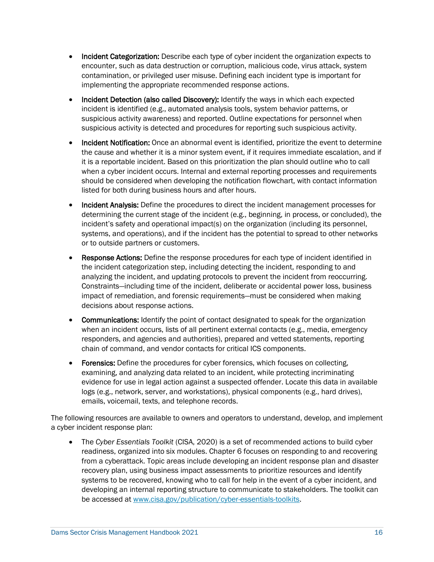- **Incident Categorization:** Describe each type of cyber incident the organization expects to encounter, such as data destruction or corruption, malicious code, virus attack, system implementing the appropriate recommended response actions. contamination, or privileged user misuse. Defining each incident type is important for
- Incident Detection (also called Discovery): Identify the ways in which each expected incident is identified (e.g., automated analysis tools, system behavior patterns, or suspicious activity awareness) and reported. Outline expectations for personnel when suspicious activity is detected and procedures for reporting such suspicious activity.
- when a cyber incident occurs. Internal and external reporting processes and requirements listed for both during business hours and after hours. • Incident Notification: Once an abnormal event is identified, prioritize the event to determine the cause and whether it is a minor system event, if it requires immediate escalation, and if it is a reportable incident. Based on this prioritization the plan should outline who to call should be considered when developing the notification flowchart, with contact information
- determining the current stage of the incident (e.g., beginning, in process, or concluded), the incident's safety and operational impact(s) on the organization (including its personnel, systems, and operations), and if the incident has the potential to spread to other networks • Incident Analysis: Define the procedures to direct the incident management processes for or to outside partners or customers.
- Response Actions: Define the response procedures for each type of incident identified in decisions about response actions. the incident categorization step, including detecting the incident, responding to and analyzing the incident, and updating protocols to prevent the incident from reoccurring. Constraints—including time of the incident, deliberate or accidental power loss, business impact of remediation, and forensic requirements—must be considered when making
- **Communications:** Identify the point of contact designated to speak for the organization when an incident occurs, lists of all pertinent external contacts (e.g., media, emergency responders, and agencies and authorities), prepared and vetted statements, reporting chain of command, and vendor contacts for critical ICS components.
- evidence for use in legal action against a suspected offender. Locate this data in available Forensics: Define the procedures for cyber forensics, which focuses on collecting, examining, and analyzing data related to an incident, while protecting incriminating logs (e.g., network, server, and workstations), physical components (e.g., hard drives), emails, voicemail, texts, and telephone records.

 The following resources are available to owners and operators to understand, develop, and implement a cyber incident response plan:

 readiness, organized into six modules. Chapter 6 focuses on responding to and recovering recovery plan, using business impact assessments to prioritize resources and identify systems to be recovered, knowing who to call for help in the event of a cyber incident, and • The *Cyber Essentials Toolkit* (CISA, 2020) is a set of recommended actions to build cyber from a cyberattack. Topic areas include developing an incident response plan and disaster developing an internal reporting structure to communicate to stakeholders. The toolkit can be accessed at [www.cisa.gov/publication/cyber-essentials-toolkits.](http://www.cisa.gov/publication/cyber-essentials-toolkits)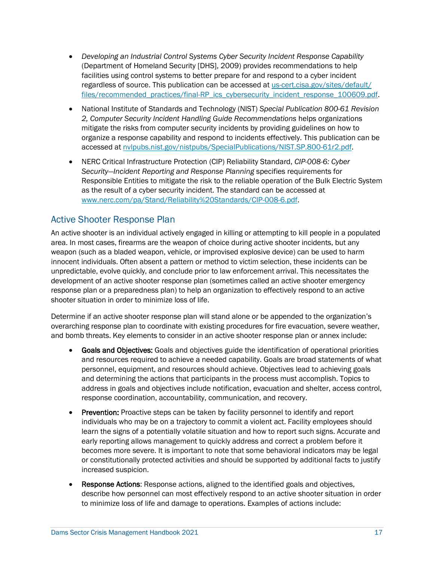- *Developing an Industrial Control Systems Cyber Security Incident Response Capability*  (Department of Homeland Security [DHS], 2009) provides recommendations to help facilities using control systems to better prepare for and respond to a cyber incident regardless of source. This publication can be accessed at us-cert.cisa.gov/sites/default/ [files/recommended\\_practices/final-RP\\_ics\\_cybersecurity\\_incident\\_response\\_100609.pdf.](https://us-cert.cisa.gov/sites/default/files/recommended_practices/final-RP_ics_cybersecurity_incident_response_100609.pdf)
- • National Institute of Standards and Technology (NIST) *Special Publication 800-61 Revision*  mitigate the risks from computer security incidents by providing guidelines on how to organize a response capability and respond to incidents effectively. This publication can be *2, Computer Security Incident Handling Guide Recommendations* helps organizations accessed at [nvlpubs.nist.gov/nistpubs/SpecialPublications/NIST.SP.800-61r2.pdf.](https://nvlpubs.nist.gov/nistpubs/SpecialPublications/NIST.SP.800-61r2.pdf)
- *Security—Incident Reporting and Response Planning* specifies requirements for • NERC Critical Infrastructure Protection (CIP) Reliability Standard, *CIP-008-6: Cyber*  Responsible Entities to mitigate the risk to the reliable operation of the Bulk Electric System as the result of a cyber security incident. The standard can be accessed at [www.nerc.com/pa/Stand/Reliability%20Standards/CIP-008-6.pdf.](https://www.nerc.com/pa/Stand/Reliability%20Standards/CIP-008-6.pdf)

### <span id="page-20-0"></span>Active Shooter Response Plan

 An active shooter is an individual actively engaged in killing or attempting to kill people in a populated area. In most cases, firearms are the weapon of choice during active shooter incidents, but any weapon (such as a bladed weapon, vehicle, or improvised explosive device) can be used to harm innocent individuals. Often absent a pattern or method to victim selection, these incidents can be unpredictable, evolve quickly, and conclude prior to law enforcement arrival. This necessitates the development of an active shooter response plan (sometimes called an active shooter emergency shooter situation in order to minimize loss of life. response plan or a preparedness plan) to help an organization to effectively respond to an active

 Determine if an active shooter response plan will stand alone or be appended to the organization's overarching response plan to coordinate with existing procedures for fire evacuation, severe weather, and bomb threats. Key elements to consider in an active shooter response plan or annex include:

- and resources required to achieve a needed capability. Goals are broad statements of what Goals and Objectives: Goals and objectives guide the identification of operational priorities personnel, equipment, and resources should achieve. Objectives lead to achieving goals and determining the actions that participants in the process must accomplish. Topics to address in goals and objectives include notification, evacuation and shelter, access control, response coordination, accountability, communication, and recovery.
- Prevention: Proactive steps can be taken by facility personnel to identify and report learn the signs of a potentially volatile situation and how to report such signs. Accurate and or constitutionally protected activities and should be supported by additional facts to justify individuals who may be on a trajectory to commit a violent act. Facility employees should early reporting allows management to quickly address and correct a problem before it becomes more severe. It is important to note that some behavioral indicators may be legal increased suspicion.
- describe how personnel can most effectively respond to an active shooter situation in order • Response Actions: Response actions, aligned to the identified goals and objectives, to minimize loss of life and damage to operations. Examples of actions include: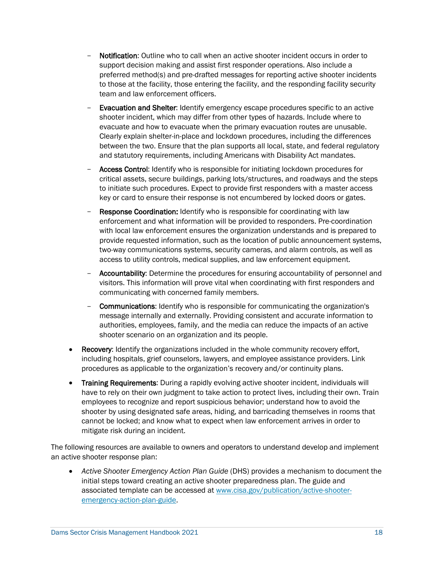- **Notification**: Outline who to call when an active shooter incident occurs in order to support decision making and assist first responder operations. Also include a to those at the facility, those entering the facility, and the responding facility security preferred method(s) and pre-drafted messages for reporting active shooter incidents team and law enforcement officers.
- Evacuation and Shelter: Identify emergency escape procedures specific to an active shooter incident, which may differ from other types of hazards. Include where to evacuate and how to evacuate when the primary evacuation routes are unusable. between the two. Ensure that the plan supports all local, state, and federal regulatory and statutory requirements, including Americans with Disability Act mandates. Clearly explain shelter-in-place and lockdown procedures, including the differences
- to initiate such procedures. Expect to provide first responders with a master access key or card to ensure their response is not encumbered by locked doors or gates. - Access Control: Identify who is responsible for initiating lockdown procedures for critical assets, secure buildings, parking lots/structures, and roadways and the steps
- provide requested information, such as the location of public announcement systems, two-way communications systems, security cameras, and alarm controls, as well as access to utility controls, medical supplies, and law enforcement equipment. **Response Coordination:** Identify who is responsible for coordinating with law enforcement and what information will be provided to responders. Pre-coordination with local law enforcement ensures the organization understands and is prepared to
- communicating with concerned family members. - **Accountability:** Determine the procedures for ensuring accountability of personnel and visitors. This information will prove vital when coordinating with first responders and
- shooter scenario on an organization and its people. **Communications:** Identify who is responsible for communicating the organization's message internally and externally. Providing consistent and accurate information to authorities, employees, family, and the media can reduce the impacts of an active
- Recovery: Identify the organizations included in the whole community recovery effort, including hospitals, grief counselors, lawyers, and employee assistance providers. Link procedures as applicable to the organization's recovery and/or continuity plans.
- have to rely on their own judgment to take action to protect lives, including their own. Train mitigate risk during an incident. **Training Requirements:** During a rapidly evolving active shooter incident, individuals will employees to recognize and report suspicious behavior; understand how to avoid the shooter by using designated safe areas, hiding, and barricading themselves in rooms that cannot be locked; and know what to expect when law enforcement arrives in order to

mitigate risk during an incident.<br>The following resources are available to owners and operators to understand develop and implement an active shooter response plan:

 • *Active Shooter Emergency Action Plan Guide* (DHS) provides a mechanism to document the initial steps toward creating an active shooter preparedness plan. The guide and associated template can be accessed a[t www.cisa.gov/publication/active-shooter](https://www.cisa.gov/publication/active-shooter-emergency-action-plan-guide)[emergency-action-plan-guide.](https://www.cisa.gov/publication/active-shooter-emergency-action-plan-guide)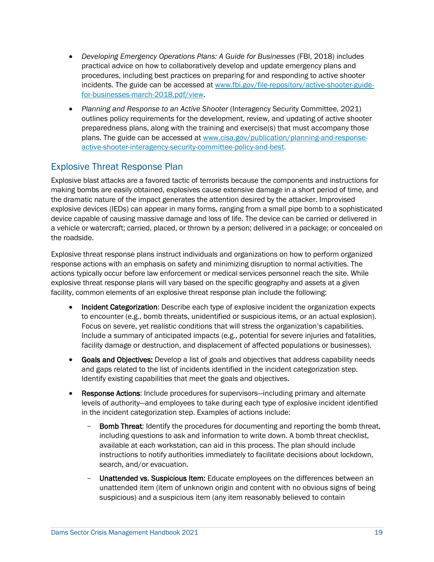- practical advice on how to collaboratively develop and update emergency plans and • *Developing Emergency Operations Plans: A Guide for Businesses* (FBI, 2018) includes procedures, including best practices on preparing for and responding to active shooter incidents. The guide can be accessed at [www.fbi.gov/file-repository/active-shooter-guide](http://www.fbi.gov/file-repository/active-shooter-guide-for-businesses-march-2018.pdf/view)[for-businesses-march-2018.pdf/view.](http://www.fbi.gov/file-repository/active-shooter-guide-for-businesses-march-2018.pdf/view)
- outlines policy requirements for the development, review, and updating of active shooter preparedness plans, along with the training and exercise(s) that must accompany those • *Planning and Response to an Active Shooter* (Interagency Security Committee, 2021) plans. The guide can be accessed at [www.cisa.gov/publication/planning-and-response](http://www.cisa.gov/publication/planning-and-response-active-shooter-interagency-security-committee-policy-and-best)[active-shooter-interagency-security-committee-policy-and-best.](http://www.cisa.gov/publication/planning-and-response-active-shooter-interagency-security-committee-policy-and-best)

### <span id="page-22-0"></span>Explosive Threat Response Plan

 making bombs are easily obtained, explosives cause extensive damage in a short period of time, and the dramatic nature of the impact generates the attention desired by the attacker. Improvised explosive devices (IEDs) can appear in many forms, ranging from a small pipe bomb to a sophisticated device capable of causing massive damage and loss of life. The device can be carried or delivered in a vehicle or watercraft; carried, placed, or thrown by a person; delivered in a package; or concealed on Explosive blast attacks are a favored tactic of terrorists because the components and instructions for the roadside.

 Explosive threat response plans instruct individuals and organizations on how to perform organized explosive threat response plans will vary based on the specific geography and assets at a given facility, common elements of an explosive threat response plan include the following: response actions with an emphasis on safety and minimizing disruption to normal activities. The actions typically occur before law enforcement or medical services personnel reach the site. While

- **Incident Categorization:** Describe each type of explosive incident the organization expects to encounter (e.g., bomb threats, unidentified or suspicious items, or an actual explosion). Include a summary of anticipated impacts (e.g., potential for severe injuries and fatalities, facility damage or destruction, and displacement of affected populations or businesses). Focus on severe, yet realistic conditions that will stress the organization's capabilities.
- **Goals and Objectives:** Develop a list of goals and objectives that address capability needs and gaps related to the list of incidents identified in the incident categorization step. Identify existing capabilities that meet the goals and objectives.
- Response Actions: Include procedures for supervisors-including primary and alternate levels of authority—and employees to take during each type of explosive incident identified in the incident categorization step. Examples of actions include:
	- i ncluding questions to ask and information to write down. A bomb threat checklist, a vailable at each workstation, can aid in this process. The plan should include **Bomb Threat:** Identify the procedures for documenting and reporting the bomb threat, instructions to notify authorities immediately to facilitate decisions about lockdown, search, and/or evacuation.
	- suspicious) and a suspicious item (any item reasonably believed to contain Unattended vs. Suspicious Item: Educate employees on the differences between an unattended item (item of unknown origin and content with no obvious signs of being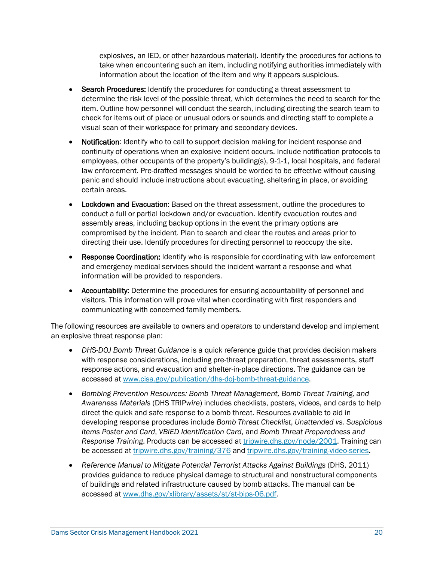take when encountering such an item, including notifying authorities immediately with explosives, an IED, or other hazardous material). Identify the procedures for actions to information about the location of the item and why it appears suspicious.

- check for items out of place or unusual odors or sounds and directing staff to complete a visual scan of their workspace for primary and secondary devices. **Search Procedures:** Identify the procedures for conducting a threat assessment to determine the risk level of the possible threat, which determines the need to search for the item. Outline how personnel will conduct the search, including directing the search team to
- Notification: Identify who to call to support decision making for incident response and continuity of operations when an explosive incident occurs. Include notification protocols to employees, other occupants of the property's building(s), 9-1-1, local hospitals, and federal panic and should include instructions about evacuating, sheltering in place, or avoiding law enforcement. Pre-drafted messages should be worded to be effective without causing certain areas.
- compromised by the incident. Plan to search and clear the routes and areas prior to directing their use. Identify procedures for directing personnel to reoccupy the site. • Lockdown and Evacuation: Based on the threat assessment, outline the procedures to conduct a full or partial lockdown and/or evacuation. Identify evacuation routes and assembly areas, including backup options in the event the primary options are
- and emergency medical services should the incident warrant a response and what Response Coordination: Identify who is responsible for coordinating with law enforcement information will be provided to responders.
- communicating with concerned family members. • Accountability: Determine the procedures for ensuring accountability of personnel and visitors. This information will prove vital when coordinating with first responders and

 The following resources are available to owners and operators to understand develop and implement an explosive threat response plan:

- • *DHS-DOJ Bomb Threat Guidance* is a quick reference guide that provides decision makers response actions, and evacuation and shelter-in-place directions. The guidance can be with response considerations, including pre-threat preparation, threat assessments, staff accessed at [www.cisa.gov/publication/dhs-doj-bomb-threat-guidance.](http://www.cisa.gov/publication/dhs-doj-bomb-threat-guidance)
- developing response procedures include *Bomb Threat Checklist*, *Unattended vs. Suspicious Response Training*. Products can be accessed at [tripwire.dhs.gov/node/2001.](https://tripwire.dhs.gov/node/2001) Training can • *Bombing Prevention Resources: Bomb Threat Management, Bomb Threat Training, and Awareness Materials* (DHS TRIP*wire*) includes checklists, posters, videos, and cards to help direct the quick and safe response to a bomb threat. Resources available to aid in *Items Poster and Card*, *VBIED Identification Card*, and *Bomb Threat Preparedness and*  be accessed at [tripwire.dhs.gov/training/376](https://tripwire.dhs.gov/training/376) and [tripwire.dhs.gov/training-video-series.](https://tripwire.dhs.gov/training-video-series)
- Reference Manual to Mitigate Potential Terrorist Attacks Against Buildings (DHS, 2011) of buildings and related infrastructure caused by bomb attacks. The manual can be provides guidance to reduce physical damage to structural and nonstructural components accessed at [www.dhs.gov/xlibrary/assets/st/st-bips-06.pdf.](http://www.dhs.gov/xlibrary/assets/st/st-bips-06.pdf)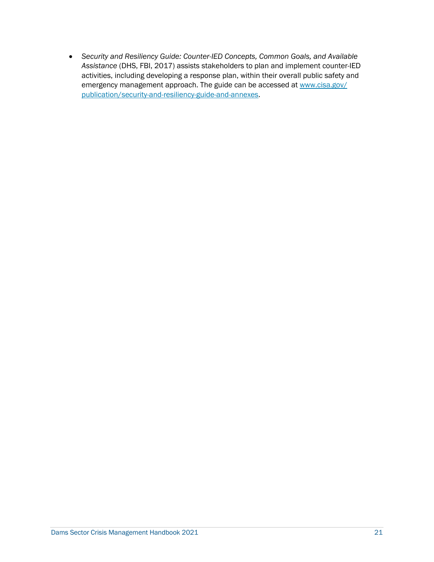<span id="page-24-0"></span>emergency management approach. The guide can be accessed at www.cisa.gov/ • *Security and Resiliency Guide: Counter-IED Concepts, Common Goals, and Available Assistance* (DHS, FBI, 2017) assists stakeholders to plan and implement counter-IED activities, including developing a response plan, within their overall public safety and [publication/security-and-resiliency-guide-and-annexes.](http://www.cisa.gov/publication/security-and-resiliency-guide-and-annexes)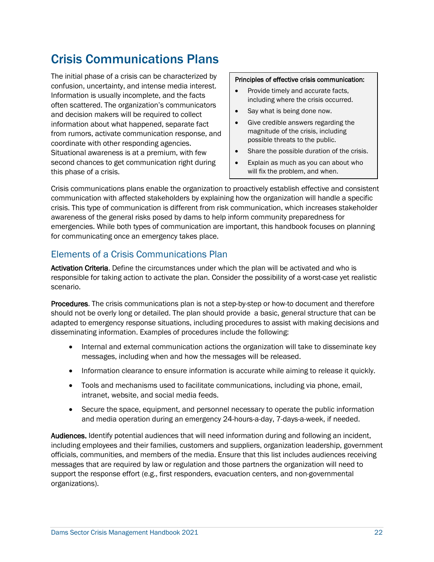# Crisis Communications Plans

The initial phase of a crisis can be characterized by confusion, uncertainty, and intense media interest. Information is usually incomplete, and the facts often scattered. The organization's communicators and decision makers will be required to collect information about what happened, separate fact from rumors, activate communication response, and coordinate with other responding agencies. Situational awareness is at a premium, with few second chances to get communication right during this phase of a crisis.

#### Principles of effective crisis communication:

- Provide timely and accurate facts, including where the crisis occurred.
- Say what is being done now.
- Give credible answers regarding the magnitude of the crisis, including possible threats to the public.
- Share the possible duration of the crisis.
- Explain as much as you can about who will fix the problem, and when.

 communication with affected stakeholders by explaining how the organization will handle a specific crisis. This type of communication is different from risk communication, which increases stakeholder awareness of the general risks posed by dams to help inform community preparedness for emergencies. While both types of communication are important, this handbook focuses on planning Crisis communications plans enable the organization to proactively establish effective and consistent for communicating once an emergency takes place.

## <span id="page-25-0"></span>Elements of a Crisis Communications Plan

Activation Criteria. Define the circumstances under which the plan will be activated and who is responsible for taking action to activate the plan. Consider the possibility of a worst-case yet realistic scenario.

 should not be overly long or detailed. The plan should provide a basic, general structure that can be disseminating information. Examples of procedures include the following: Procedures. The crisis communications plan is not a step-by-step or how-to document and therefore adapted to emergency response situations, including procedures to assist with making decisions and

- • Internal and external communication actions the organization will take to disseminate key messages, including when and how the messages will be released.
- Information clearance to ensure information is accurate while aiming to release it quickly.
- Tools and mechanisms used to facilitate communications, including via phone, email, intranet, website, and social media feeds.
- and media operation during an emergency 24-hours-a-day, 7-days-a-week, if needed. • Secure the space, equipment, and personnel necessary to operate the public information

Audiences. Identify potential audiences that will need information during and following an incident, including employees and their families, customers and suppliers, organization leadership, government officials, communities, and members of the media. Ensure that this list includes audiences receiving messages that are required by law or regulation and those partners the organization will need to support the response effort (e.g., first responders, evacuation centers, and non-governmental organizations).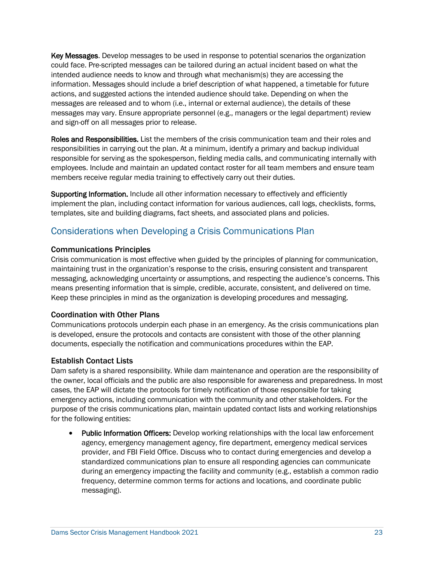Key Messages. Develop messages to be used in response to potential scenarios the organization could face. Pre-scripted messages can be tailored during an actual incident based on what the intended audience needs to know and through what mechanism(s) they are accessing the actions, and suggested actions the intended audience should take. Depending on when the messages are released and to whom (i.e., internal or external audience), the details of these messages may vary. Ensure appropriate personnel (e.g., managers or the legal department) review and sign-off on all messages prior to release. information. Messages should include a brief description of what happened, a timetable for future

Roles and Responsibilities. List the members of the crisis communication team and their roles and responsibilities in carrying out the plan. At a minimum, identify a primary and backup individual responsible for serving as the spokesperson, fielding media calls, and communicating internally with employees. Include and maintain an updated contact roster for all team members and ensure team members receive regular media training to effectively carry out their duties.

 implement the plan, including contact information for various audiences, call logs, checklists, forms, Supporting Information. Include all other information necessary to effectively and efficiently templates, site and building diagrams, fact sheets, and associated plans and policies.

# <span id="page-26-0"></span>Considerations when Developing a Crisis Communications Plan

#### Communications Principles

 maintaining trust in the organization's response to the crisis, ensuring consistent and transparent messaging, acknowledging uncertainty or assumptions, and respecting the audience's concerns. This means presenting information that is simple, credible, accurate, consistent, and delivered on time. Keep these principles in mind as the organization is developing procedures and messaging. Crisis communication is most effective when guided by the principles of planning for communication,

#### Coordination with Other Plans

 Communications protocols underpin each phase in an emergency. As the crisis communications plan is developed, ensure the protocols and contacts are consistent with those of the other planning documents, especially the notification and communications procedures within the EAP.

#### Establish Contact Lists

 Dam safety is a shared responsibility. While dam maintenance and operation are the responsibility of the owner, local officials and the public are also responsible for awareness and preparedness. In most cases, the EAP will dictate the protocols for timely notification of those responsible for taking for the following entities: emergency actions, including communication with the community and other stakeholders. For the purpose of the crisis communications plan, maintain updated contact lists and working relationships

• Public Information Officers: Develop working relationships with the local law enforcement agency, emergency management agency, fire department, emergency medical services provider, and FBI Field Office. Discuss who to contact during emergencies and develop a standardized communications plan to ensure all responding agencies can communicate during an emergency impacting the facility and community (e.g., establish a common radio frequency, determine common terms for actions and locations, and coordinate public messaging).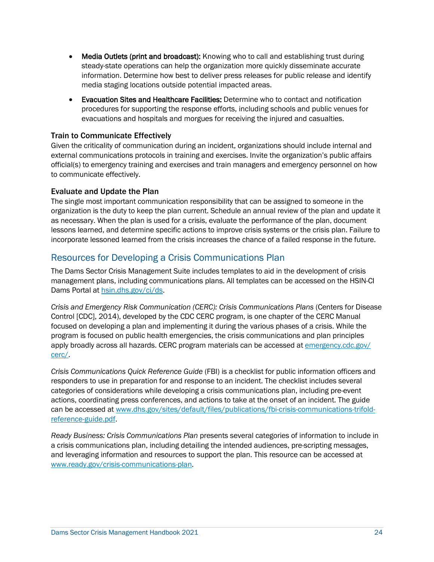- steady-state operations can help the organization more quickly disseminate accurate • Media Outlets (print and broadcast): Knowing who to call and establishing trust during information. Determine how best to deliver press releases for public release and identify media staging locations outside potential impacted areas.
- • Evacuation Sites and Healthcare Facilities: Determine who to contact and notification procedures for supporting the response efforts, including schools and public venues for evacuations and hospitals and morgues for receiving the injured and casualties.

#### Train to Communicate Effectively

 external communications protocols in training and exercises. Invite the organization's public affairs official(s) to emergency training and exercises and train managers and emergency personnel on how Given the criticality of communication during an incident, organizations should include internal and to communicate effectively.

#### Evaluate and Update the Plan

 The single most important communication responsibility that can be assigned to someone in the organization is the duty to keep the plan current. Schedule an annual review of the plan and update it as necessary. When the plan is used for a crisis, evaluate the performance of the plan, document lessons learned, and determine specific actions to improve crisis systems or the crisis plan. Failure to incorporate lessoned learned from the crisis increases the chance of a failed response in the future.

### <span id="page-27-0"></span>Resources for Developing a Crisis Communications Plan

 The Dams Sector Crisis Management Suite includes templates to aid in the development of crisis management plans, including communications plans. All templates can be accessed on the HSIN-CI Dams Portal at [hsin.dhs.gov/ci/ds.](https://hsin.dhs.gov/ci/ds)

 Control [CDC], 2014), developed by the CDC CERC program, is one chapter of the CERC Manual focused on developing a plan and implementing it during the various phases of a crisis. While the *Crisis and Emergency Risk Communication (CERC): Crisis Communications Plans* (Centers for Disease program is focused on public health emergencies, the crisis communications and plan principles apply broadly across all hazards. CERC program materials can be accessed at [emergency.cdc.gov/](https://emergency.cdc.gov/cerc/)  [cerc/.](https://emergency.cdc.gov/cerc/)

 categories of considerations while developing a crisis communications plan, including pre-event *Crisis Communications Quick Reference Guide* (FBI) is a checklist for public information officers and responders to use in preparation for and response to an incident. The checklist includes several actions, coordinating press conferences, and actions to take at the onset of an incident. The guide can be accessed at [www.dhs.gov/sites/default/files/publications/fbi-crisis-communications-trifold](http://www.dhs.gov/sites/default/files/publications/fbi-crisis-communications-trifold-reference-guide.pdf)[reference-guide.pdf.](http://www.dhs.gov/sites/default/files/publications/fbi-crisis-communications-trifold-reference-guide.pdf)

<span id="page-27-1"></span> *Ready Business: Crisis Communications Plan* presents several categories of information to include in a crisis communications plan, including detailing the intended audiences, pre-scripting messages, and leveraging information and resources to support the plan. This resource can be accessed at [www.ready.gov/crisis-communications-plan.](http://www.ready.gov/crisis-communications-plan)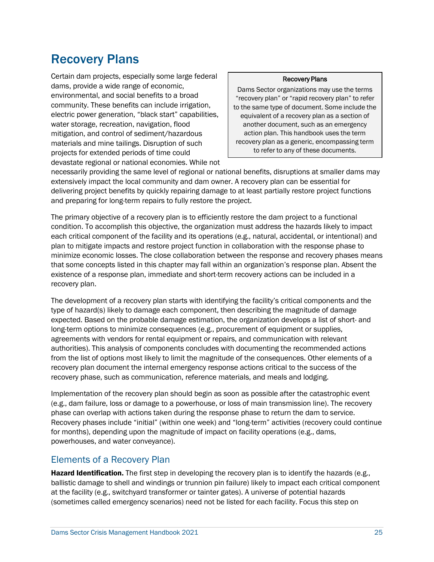# Recovery Plans

Certain dam projects, especially some large federal dams, provide a wide range of economic, environmental, and social benefits to a broad community. These benefits can include irrigation, electric power generation, "black start" capabilities, water storage, recreation, navigation, flood mitigation, and control of sediment/hazardous materials and mine tailings. Disruption of such projects for extended periods of time could devastate regional or national economies. While not

#### Recovery Plans

Dams Sector organizations may use the terms "recovery plan" or "rapid recovery plan" to refer to the same type of document. Some include the equivalent of a recovery plan as a section of another document, such as an emergency action plan. This handbook uses the term recovery plan as a generic, encompassing term to refer to any of these documents.

 extensively impact the local community and dam owner. A recovery plan can be essential for delivering project benefits by quickly repairing damage to at least partially restore project functions and preparing for long-term repairs to fully restore the project. necessarily providing the same level of regional or national benefits, disruptions at smaller dams may

 condition. To accomplish this objective, the organization must address the hazards likely to impact each critical component of the facility and its operations (e.g., natural, accidental, or intentional) and plan to mitigate impacts and restore project function in collaboration with the response phase to minimize economic losses. The close collaboration between the response and recovery phases means that some concepts listed in this chapter may fall within an organization's response plan. Absent the existence of a response plan, immediate and short-term recovery actions can be included in a The primary objective of a recovery plan is to efficiently restore the dam project to a functional recovery plan.

 The development of a recovery plan starts with identifying the facility's critical components and the type of hazard(s) likely to damage each component, then describing the magnitude of damage long-term options to minimize consequences (e.g., procurement of equipment or supplies, agreements with vendors for rental equipment or repairs, and communication with relevant from the list of options most likely to limit the magnitude of the consequences. Other elements of a recovery phase, such as communication, reference materials, and meals and lodging. expected. Based on the probable damage estimation, the organization develops a list of short- and authorities). This analysis of components concludes with documenting the recommended actions recovery plan document the internal emergency response actions critical to the success of the

 Implementation of the recovery plan should begin as soon as possible after the catastrophic event (e.g., dam failure, loss or damage to a powerhouse, or loss of main transmission line). The recovery phase can overlap with actions taken during the response phase to return the dam to service. Recovery phases include "initial" (within one week) and "long-term" activities (recovery could continue for months), depending upon the magnitude of impact on facility operations (e.g., dams, powerhouses, and water conveyance).

### <span id="page-28-0"></span>Elements of a Recovery Plan

Hazard Identification. The first step in developing the recovery plan is to identify the hazards (e.g., ballistic damage to shell and windings or trunnion pin failure) likely to impact each critical component at the facility (e.g., switchyard transformer or tainter gates). A universe of potential hazards (sometimes called emergency scenarios) need not be listed for each facility. Focus this step on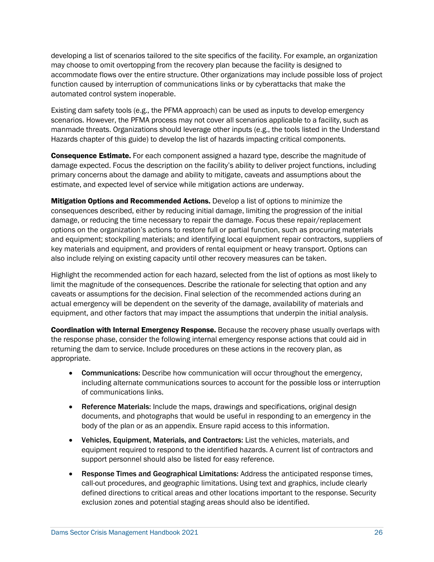developing a list of scenarios tailored to the site specifics of the facility. For example, an organization may choose to omit overtopping from the recovery plan because the facility is designed to accommodate flows over the entire structure. Other organizations may include possible loss of project function caused by interruption of communications links or by cyberattacks that make the automated control system inoperable.

 manmade threats. Organizations should leverage other inputs (e.g., the tools listed in the Understand Existing dam safety tools (e.g., the PFMA approach) can be used as inputs to develop emergency scenarios. However, the PFMA process may not cover all scenarios applicable to a facility, such as Hazards chapter of this guide) to develop the list of hazards impacting critical components.

 damage expected. Focus the description on the facility's ability to deliver project functions, including **Consequence Estimate.** For each component assigned a hazard type, describe the magnitude of primary concerns about the damage and ability to mitigate, caveats and assumptions about the estimate, and expected level of service while mitigation actions are underway.

 consequences described, either by reducing initial damage, limiting the progression of the initial damage, or reducing the time necessary to repair the damage. Focus these repair/replacement and equipment; stockpiling materials; and identifying local equipment repair contractors, suppliers of also include relying on existing capacity until other recovery measures can be taken. **Mitigation Options and Recommended Actions.** Develop a list of options to minimize the options on the organization's actions to restore full or partial function, such as procuring materials key materials and equipment, and providers of rental equipment or heavy transport. Options can

 Highlight the recommended action for each hazard, selected from the list of options as most likely to limit the magnitude of the consequences. Describe the rationale for selecting that option and any caveats or assumptions for the decision. Final selection of the recommended actions during an equipment, and other factors that may impact the assumptions that underpin the initial analysis. actual emergency will be dependent on the severity of the damage, availability of materials and

Coordination with Internal Emergency Response. Because the recovery phase usually overlaps with the response phase, consider the following internal emergency response actions that could aid in returning the dam to service. Include procedures on these actions in the recovery plan, as appropriate.

- **Communications:** Describe how communication will occur throughout the emergency, including alternate communications sources to account for the possible loss or interruption of communications links.
- documents, and photographs that would be useful in responding to an emergency in the body of the plan or as an appendix. Ensure rapid access to this information. • Reference Materials: Include the maps, drawings and specifications, original design
- • Vehicles, Equipment, Materials, and Contractors: List the vehicles, materials, and equipment required to respond to the identified hazards. A current list of contractors and support personnel should also be listed for easy reference.
- exclusion zones and potential staging areas should also be identified. • Response Times and Geographical Limitations: Address the anticipated response times, call-out procedures, and geographic limitations. Using text and graphics, include clearly defined directions to critical areas and other locations important to the response. Security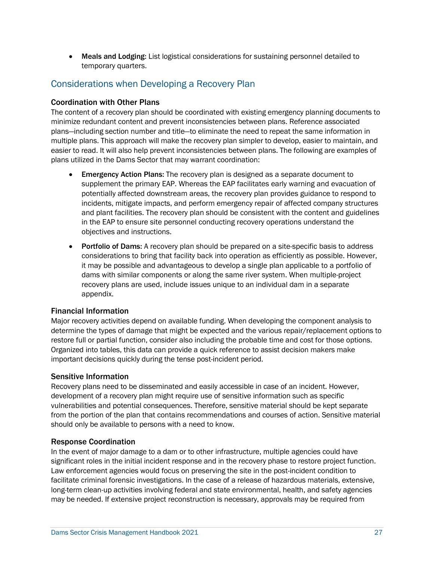• Meals and Lodging: List logistical considerations for sustaining personnel detailed to temporary quarters.

### <span id="page-30-0"></span>Considerations when Developing a Recovery Plan

#### Coordination with Other Plans

 The content of a recovery plan should be coordinated with existing emergency planning documents to plans—including section number and title—to eliminate the need to repeat the same information in multiple plans. This approach will make the recovery plan simpler to develop, easier to maintain, and easier to read. It will also help prevent inconsistencies between plans. The following are examples of minimize redundant content and prevent inconsistencies between plans. Reference associated plans utilized in the Dams Sector that may warrant coordination:

- supplement the primary EAP. Whereas the EAP facilitates early warning and evacuation of incidents, mitigate impacts, and perform emergency repair of affected company structures **Emergency Action Plans:** The recovery plan is designed as a separate document to potentially affected downstream areas, the recovery plan provides guidance to respond to and plant facilities. The recovery plan should be consistent with the content and guidelines in the EAP to ensure site personnel conducting recovery operations understand the objectives and instructions.
- Portfolio of Dams: A recovery plan should be prepared on a site-specific basis to address recovery plans are used, include issues unique to an individual dam in a separate considerations to bring that facility back into operation as efficiently as possible. However, it may be possible and advantageous to develop a single plan applicable to a portfolio of dams with similar components or along the same river system. When multiple-project appendix.

#### Financial Information

 Major recovery activities depend on available funding. When developing the component analysis to determine the types of damage that might be expected and the various repair/replacement options to restore full or partial function, consider also including the probable time and cost for those options. Organized into tables, this data can provide a quick reference to assist decision makers make important decisions quickly during the tense post-incident period.

#### Sensitive Information

 Recovery plans need to be disseminated and easily accessible in case of an incident. However, development of a recovery plan might require use of sensitive information such as specific vulnerabilities and potential consequences. Therefore, sensitive material should be kept separate from the portion of the plan that contains recommendations and courses of action. Sensitive material should only be available to persons with a need to know.

#### Response Coordination

 In the event of major damage to a dam or to other infrastructure, multiple agencies could have significant roles in the initial incident response and in the recovery phase to restore project function. Law enforcement agencies would focus on preserving the site in the post-incident condition to facilitate criminal forensic investigations. In the case of a release of hazardous materials, extensive, long-term clean-up activities involving federal and state environmental, health, and safety agencies may be needed. If extensive project reconstruction is necessary, approvals may be required from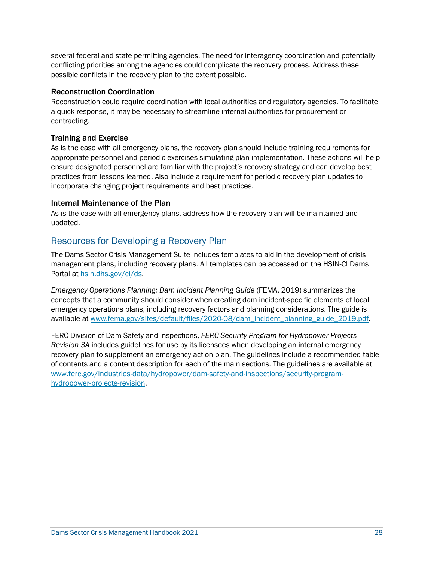several federal and state permitting agencies. The need for interagency coordination and potentially conflicting priorities among the agencies could complicate the recovery process. Address these possible conflicts in the recovery plan to the extent possible.

#### Reconstruction Coordination

 Reconstruction could require coordination with local authorities and regulatory agencies. To facilitate a quick response, it may be necessary to streamline internal authorities for procurement or contracting.

#### Training and Exercise

 appropriate personnel and periodic exercises simulating plan implementation. These actions will help practices from lessons learned. Also include a requirement for periodic recovery plan updates to As is the case with all emergency plans, the recovery plan should include training requirements for ensure designated personnel are familiar with the project's recovery strategy and can develop best incorporate changing project requirements and best practices.

#### Internal Maintenance of the Plan

 As is the case with all emergency plans, address how the recovery plan will be maintained and updated.

### <span id="page-31-0"></span>Resources for Developing a Recovery Plan

 The Dams Sector Crisis Management Suite includes templates to aid in the development of crisis management plans, including recovery plans. All templates can be accessed on the HSIN-CI Dams Portal at [hsin.dhs.gov/ci/ds.](https://hsin.dhs.gov/ci/ds)

 *Emergency Operations Planning: Dam Incident Planning Guide* (FEMA, 2019) summarizes the emergency operations plans, including recovery factors and planning considerations. The guide is concepts that a community should consider when creating dam incident-specific elements of local available a[t www.fema.gov/sites/default/files/2020-08/dam\\_incident\\_planning\\_guide\\_2019.pdf.](http://www.fema.gov/sites/default/files/2020-08/dam_incident_planning_guide_2019.pdf)

<span id="page-31-1"></span> FERC Division of Dam Safety and Inspections, *FERC Security Program for Hydropower Projects Revision 3A* includes guidelines for use by its licensees when developing an internal emergency recovery plan to supplement an emergency action plan. The guidelines include a recommended table of contents and a content description for each of the main sections. The guidelines are available at [www.ferc.gov/industries-data/hydropower/dam-safety-and-inspections/security-program](http://www.ferc.gov/industries-data/hydropower/dam-safety-and-inspections/security-program-hydropower-projects-revision)[hydropower-projects-revision.](http://www.ferc.gov/industries-data/hydropower/dam-safety-and-inspections/security-program-hydropower-projects-revision)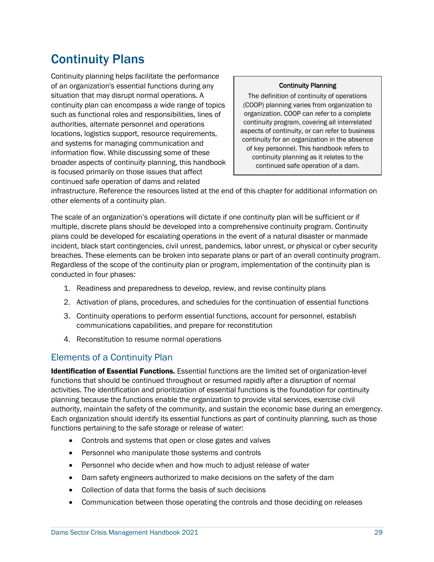# Continuity Plans

 continued safe operation of dams and related Continuity planning helps facilitate the performance of an organization's essential functions during any situation that may disrupt normal operations. A continuity plan can encompass a wide range of topics such as functional roles and responsibilities, lines of authorities, alternate personnel and operations locations, logistics support, resource requirements, and systems for managing communication and information flow. While discussing some of these broader aspects of continuity planning, this handbook is focused primarily on those issues that affect

#### Continuity Planning

The definition of continuity of operations (COOP) planning varies from organization to organization. COOP can refer to a complete continuity program, covering all interrelated aspects of continuity, or can refer to business continuity for an organization in the absence of key personnel. This handbook refers to continuity planning as it relates to the continued safe operation of a dam.

 infrastructure. Reference the resources listed at the end of this chapter for additional information on other elements of a continuity plan.

 multiple, discrete plans should be developed into a comprehensive continuity program. Continuity plans could be developed for escalating operations in the event of a natural disaster or manmade breaches. These elements can be broken into separate plans or part of an overall continuity program. Regardless of the scope of the continuity plan or program, implementation of the continuity plan is The scale of an organization's operations will dictate if one continuity plan will be sufficient or if incident, black start contingencies, civil unrest, pandemics, labor unrest, or physical or cyber security conducted in four phases:

- 1. Readiness and preparedness to develop, review, and revise continuity plans
- 2. Activation of plans, procedures, and schedules for the continuation of essential functions
- 3. Continuity operations to perform essential functions, account for personnel, establish communications capabilities, and prepare for reconstitution
- 4. Reconstitution to resume normal operations

### <span id="page-32-0"></span>Elements of a Continuity Plan

Identification of Essential Functions. Essential functions are the limited set of organization-level functions that should be continued throughout or resumed rapidly after a disruption of normal activities. The identification and prioritization of essential functions is the foundation for continuity authority, maintain the safety of the community, and sustain the economic base during an emergency. Each organization should identify its essential functions as part of continuity planning, such as those functions pertaining to the safe storage or release of water: planning because the functions enable the organization to provide vital services, exercise civil

- Controls and systems that open or close gates and valves
- Personnel who manipulate those systems and controls
- Personnel who decide when and how much to adjust release of water
- Dam safety engineers authorized to make decisions on the safety of the dam
- Collection of data that forms the basis of such decisions
- Communication between those operating the controls and those deciding on releases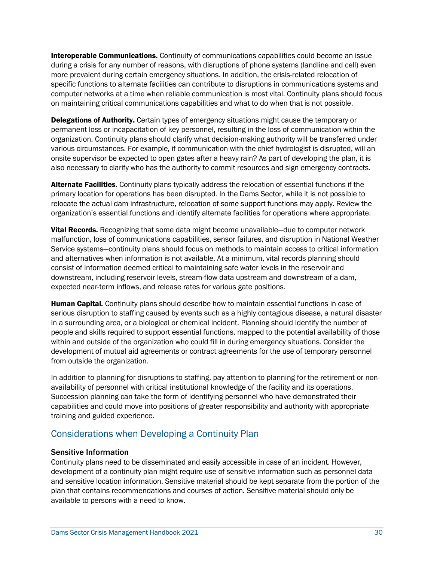during a crisis for any number of reasons, with disruptions of phone systems (landline and cell) even computer networks at a time when reliable communication is most vital. Continuity plans should focus on maintaining critical communications capabilities and what to do when that is not possible. **Interoperable Communications.** Continuity of communications capabilities could become an issue more prevalent during certain emergency situations. In addition, the crisis-related relocation of specific functions to alternate facilities can contribute to disruptions in communications systems and

Delegations of Authority. Certain types of emergency situations might cause the temporary or permanent loss or incapacitation of key personnel, resulting in the loss of communication within the organization. Continuity plans should clarify what decision-making authority will be transferred under onsite supervisor be expected to open gates after a heavy rain? As part of developing the plan, it is also necessary to clarify who has the authority to commit resources and sign emergency contracts. various circumstances. For example, if communication with the chief hydrologist is disrupted, will an

Alternate Facilities. Continuity plans typically address the relocation of essential functions if the primary location for operations has been disrupted. In the Dams Sector, while it is not possible to relocate the actual dam infrastructure, relocation of some support functions may apply. Review the organization's essential functions and identify alternate facilities for operations where appropriate.

Vital Records. Recognizing that some data might become unavailable-due to computer network Service systems—continuity plans should focus on methods to maintain access to critical information consist of information deemed critical to maintaining safe water levels in the reservoir and malfunction, loss of communications capabilities, sensor failures, and disruption in National Weather and alternatives when information is not available. At a minimum, vital records planning should downstream, including reservoir levels, stream-flow data upstream and downstream of a dam, expected near-term inflows, and release rates for various gate positions.

Human Capital. Continuity plans should describe how to maintain essential functions in case of serious disruption to staffing caused by events such as a highly contagious disease, a natural disaster in a surrounding area, or a biological or chemical incident. Planning should identify the number of people and skills required to support essential functions, mapped to the potential availability of those within and outside of the organization who could fill in during emergency situations. Consider the development of mutual aid agreements or contract agreements for the use of temporary personnel from outside the organization.

 In addition to planning for disruptions to staffing, pay attention to planning for the retirement or non- capabilities and could move into positions of greater responsibility and authority with appropriate availability of personnel with critical institutional knowledge of the facility and its operations. Succession planning can take the form of identifying personnel who have demonstrated their training and guided experience.

### <span id="page-33-0"></span>Considerations when Developing a Continuity Plan

#### Sensitive Information

 Continuity plans need to be disseminated and easily accessible in case of an incident. However, development of a continuity plan might require use of sensitive information such as personnel data and sensitive location information. Sensitive material should be kept separate from the portion of the plan that contains recommendations and courses of action. Sensitive material should only be available to persons with a need to know.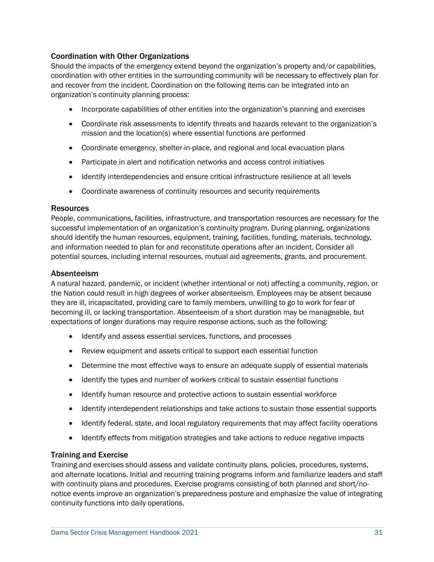#### Coordination with Other Organizations

 Should the impacts of the emergency extend beyond the organization's property and/or capabilities, coordination with other entities in the surrounding community will be necessary to effectively plan for organization's continuity planning process: and recover from the incident. Coordination on the following items can be integrated into an

- Incorporate capabilities of other entities into the organization's planning and exercises
- mission and the location(s) where essential functions are performed • Coordinate risk assessments to identify threats and hazards relevant to the organization's
- Coordinate emergency, shelter-in-place, and regional and local evacuation plans
- Participate in alert and notification networks and access control initiatives
- Identify interdependencies and ensure critical infrastructure resilience at all levels
- Coordinate awareness of continuity resources and security requirements

#### **Resources**

 People, communications, facilities, infrastructure, and transportation resources are necessary for the should identify the human resources, equipment, training, facilities, funding, materials, technology, and information needed to plan for and reconstitute operations after an incident. Consider all successful implementation of an organization's continuity program. During planning, organizations potential sources, including internal resources, mutual aid agreements, grants, and procurement.

#### Absenteeism

 A natural hazard, pandemic, or incident (whether intentional or not) affecting a community, region, or the Nation could result in high degrees of worker absenteeism. Employees may be absent because they are ill, incapacitated, providing care to family members, unwilling to go to work for fear of becoming ill, or lacking transportation. Absenteeism of a short duration may be manageable, but expectations of longer durations may require response actions, such as the following:

- Identify and assess essential services, functions, and processes
- Review equipment and assets critical to support each essential function
- Determine the most effective ways to ensure an adequate supply of essential materials
- Identify the types and number of workers critical to sustain essential functions
- Identify human resource and protective actions to sustain essential workforce
- Identify interdependent relationships and take actions to sustain those essential supports
- Identify federal, state, and local regulatory requirements that may affect facility operations
- <span id="page-34-0"></span>• Identify effects from mitigation strategies and take actions to reduce negative impacts

#### Training and Exercise

 Training and exercises should assess and validate continuity plans, policies, procedures, systems, with continuity plans and procedures. Exercise programs consisting of both planned and short/noand alternate locations. Initial and recurring training programs inform and familiarize leaders and staff notice events improve an organization's preparedness posture and emphasize the value of integrating continuity functions into daily operations.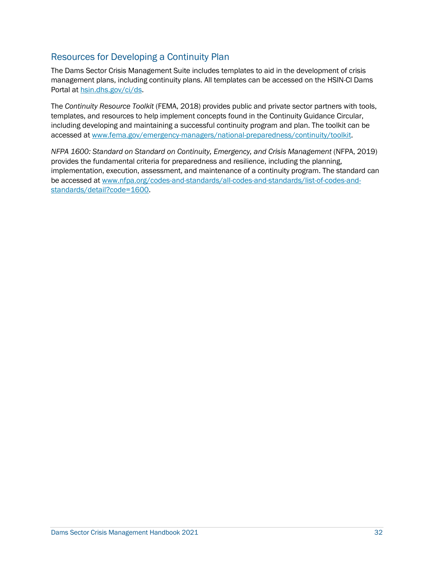### Resources for Developing a Continuity Plan

 The Dams Sector Crisis Management Suite includes templates to aid in the development of crisis management plans, including continuity plans. All templates can be accessed on the HSIN-CI Dams Portal at [hsin.dhs.gov/ci/ds.](https://hsin.dhs.gov/ci/ds)

 including developing and maintaining a successful continuity program and plan. The toolkit can be The *Continuity Resource Toolkit* (FEMA, 2018) provides public and private sector partners with tools, templates, and resources to help implement concepts found in the Continuity Guidance Circular, accessed a[t www.fema.gov/emergency-managers/national-preparedness/continuity/toolkit.](http://www.fema.gov/emergency-managers/national-preparedness/continuity/toolkit)

 provides the fundamental criteria for preparedness and resilience, including the planning, implementation, execution, assessment, and maintenance of a continuity program. The standard can *NFPA 1600: Standard on Standard on Continuity, Emergency, and Crisis Management (NFPA, 2019)* be accessed at [www.nfpa.org/codes-and-standards/all-codes-and-standards/list-of-codes-and](http://www.nfpa.org/codes-and-standards/all-codes-and-standards/list-of-codes-and-standards/detail?code=1600)[standards/detail?code=1600.](http://www.nfpa.org/codes-and-standards/all-codes-and-standards/list-of-codes-and-standards/detail?code=1600)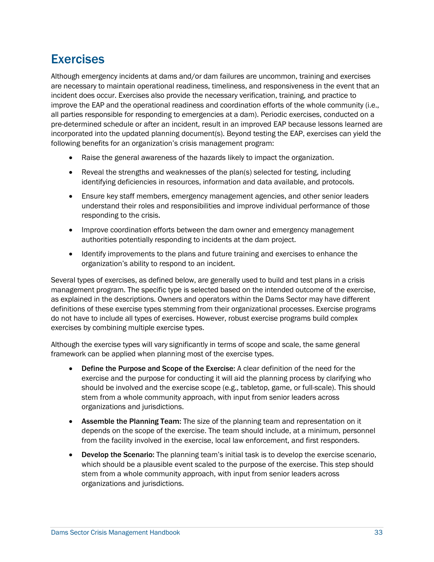# <span id="page-36-0"></span>Exercises

 are necessary to maintain operational readiness, timeliness, and responsiveness in the event that an incident does occur. Exercises also provide the necessary verification, training, and practice to all parties responsible for responding to emergencies at a dam). Periodic exercises, conducted on a pre-determined schedule or after an incident, result in an improved EAP because lessons learned are incorporated into the updated planning document(s). Beyond testing the EAP, exercises can yield the following benefits for an organization's crisis management program: Although emergency incidents at dams and/or dam failures are uncommon, training and exercises improve the EAP and the operational readiness and coordination efforts of the whole community (i.e.,

- Raise the general awareness of the hazards likely to impact the organization.
- Reveal the strengths and weaknesses of the plan(s) selected for testing, including identifying deficiencies in resources, information and data available, and protocols.
- Ensure key staff members, emergency management agencies, and other senior leaders understand their roles and responsibilities and improve individual performance of those responding to the crisis.
- Improve coordination efforts between the dam owner and emergency management authorities potentially responding to incidents at the dam project.
- Identify improvements to the plans and future training and exercises to enhance the organization's ability to respond to an incident.

 Several types of exercises, as defined below, are generally used to build and test plans in a crisis management program. The specific type is selected based on the intended outcome of the exercise, as explained in the descriptions. Owners and operators within the Dams Sector may have different do not have to include all types of exercises. However, robust exercise programs build complex exercises by combining multiple exercise types. definitions of these exercise types stemming from their organizational processes. Exercise programs

 Although the exercise types will vary significantly in terms of scope and scale, the same general framework can be applied when planning most of the exercise types.

- Define the Purpose and Scope of the Exercise: A clear definition of the need for the stem from a whole community approach, with input from senior leaders across exercise and the purpose for conducting it will aid the planning process by clarifying who should be involved and the exercise scope (e.g., tabletop, game, or full-scale). This should organizations and jurisdictions.
- depends on the scope of the exercise. The team should include, at a minimum, personnel • Assemble the Planning Team: The size of the planning team and representation on it from the facility involved in the exercise, local law enforcement, and first responders.
- stem from a whole community approach, with input from senior leaders across • Develop the Scenario: The planning team's initial task is to develop the exercise scenario, which should be a plausible event scaled to the purpose of the exercise. This step should organizations and jurisdictions.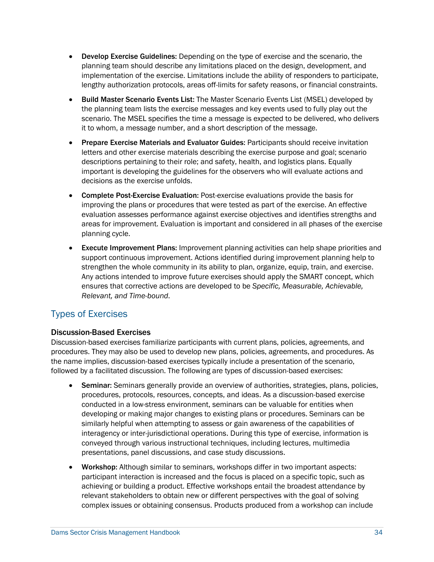- planning team should describe any limitations placed on the design, development, and lengthy authorization protocols, areas off-limits for safety reasons, or financial constraints. **Develop Exercise Guidelines:** Depending on the type of exercise and the scenario, the implementation of the exercise. Limitations include the ability of responders to participate,
- the planning team lists the exercise messages and key events used to fully play out the scenario. The MSEL specifies the time a message is expected to be delivered, who delivers • Build Master Scenario Events List: The Master Scenario Events List (MSEL) developed by it to whom, a message number, and a short description of the message.
- • Prepare Exercise Materials and Evaluator Guides: Participants should receive invitation descriptions pertaining to their role; and safety, health, and logistics plans. Equally letters and other exercise materials describing the exercise purpose and goal; scenario important is developing the guidelines for the observers who will evaluate actions and decisions as the exercise unfolds.
- areas for improvement. Evaluation is important and considered in all phases of the exercise • Complete Post-Exercise Evaluation: Post-exercise evaluations provide the basis for improving the plans or procedures that were tested as part of the exercise. An effective evaluation assesses performance against exercise objectives and identifies strengths and planning cycle.
- • Execute Improvement Plans: Improvement planning activities can help shape priorities and  ensures that corrective actions are developed to be *Specific, Measurable, Achievable,*  support continuous improvement. Actions identified during improvement planning help to strengthen the whole community in its ability to plan, organize, equip, train, and exercise. Any actions intended to improve future exercises should apply the SMART concept, which *Relevant, and Time-bound*.

### <span id="page-37-0"></span>Types of Exercises

#### Discussion-Based Exercises

 procedures. They may also be used to develop new plans, policies, agreements, and procedures. As the name implies, discussion-based exercises typically include a presentation of the scenario, Discussion-based exercises familiarize participants with current plans, policies, agreements, and followed by a facilitated discussion. The following are types of discussion-based exercises:

- **Seminar:** Seminars generally provide an overview of authorities, strategies, plans, policies, conducted in a low-stress environment, seminars can be valuable for entities when conveyed through various instructional techniques, including lectures, multimedia presentations, panel discussions, and case study discussions. procedures, protocols, resources, concepts, and ideas. As a discussion-based exercise developing or making major changes to existing plans or procedures. Seminars can be similarly helpful when attempting to assess or gain awareness of the capabilities of interagency or inter-jurisdictional operations. During this type of exercise, information is
- relevant stakeholders to obtain new or different perspectives with the goal of solving • Workshop: Although similar to seminars, workshops differ in two important aspects: participant interaction is increased and the focus is placed on a specific topic, such as achieving or building a product. Effective workshops entail the broadest attendance by complex issues or obtaining consensus. Products produced from a workshop can include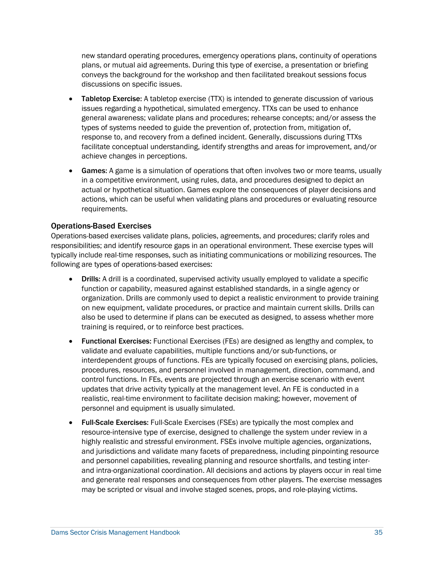plans, or mutual aid agreements. During this type of exercise, a presentation or briefing new standard operating procedures, emergency operations plans, continuity of operations conveys the background for the workshop and then facilitated breakout sessions focus discussions on specific issues.

- issues regarding a hypothetical, simulated emergency. TTXs can be used to enhance general awareness; validate plans and procedures; rehearse concepts; and/or assess the types of systems needed to guide the prevention of, protection from, mitigation of, response to, and recovery from a defined incident. Generally, discussions during TTXs facilitate conceptual understanding, identify strengths and areas for improvement, and/or **Tabletop Exercise:** A tabletop exercise (TTX) is intended to generate discussion of various achieve changes in perceptions.
- actual or hypothetical situation. Games explore the consequences of player decisions and actions, which can be useful when validating plans and procedures or evaluating resource Games: A game is a simulation of operations that often involves two or more teams, usually in a competitive environment, using rules, data, and procedures designed to depict an requirements.

#### Operations-Based Exercises

 Operations-based exercises validate plans, policies, agreements, and procedures; clarify roles and responsibilities; and identify resource gaps in an operational environment. These exercise types will following are types of operations-based exercises: typically include real-time responses, such as initiating communications or mobilizing resources. The

- Drills: A drill is a coordinated, supervised activity usually employed to validate a specific function or capability, measured against established standards, in a single agency or on new equipment, validate procedures, or practice and maintain current skills. Drills can organization. Drills are commonly used to depict a realistic environment to provide training also be used to determine if plans can be executed as designed, to assess whether more training is required, or to reinforce best practices.
- • Functional Exercises: Functional Exercises (FEs) are designed as lengthy and complex, to interdependent groups of functions. FEs are typically focused on exercising plans, policies, procedures, resources, and personnel involved in management, direction, command, and control functions. In FEs, events are projected through an exercise scenario with event updates that drive activity typically at the management level. An FE is conducted in a validate and evaluate capabilities, multiple functions and/or sub-functions, or realistic, real-time environment to facilitate decision making; however, movement of personnel and equipment is usually simulated.
- Full-Scale Exercises: Full-Scale Exercises (FSEs) are typically the most complex and resource-intensive type of exercise, designed to challenge the system under review in a highly realistic and stressful environment. FSEs involve multiple agencies, organizations, and jurisdictions and validate many facets of preparedness, including pinpointing resource and personnel capabilities, revealing planning and resource shortfalls, and testing interand intra-organizational coordination. All decisions and actions by players occur in real time and generate real responses and consequences from other players. The exercise messages may be scripted or visual and involve staged scenes, props, and role-playing victims.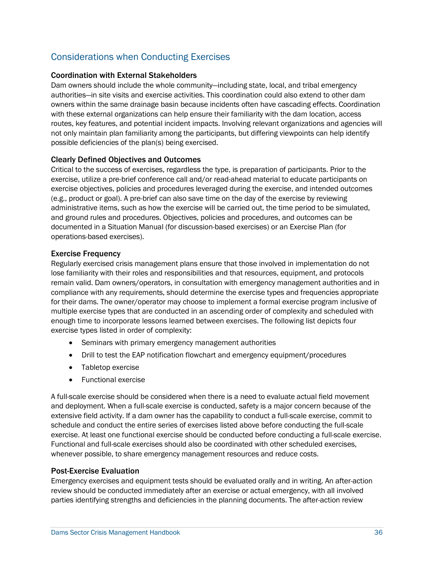## <span id="page-39-0"></span>Considerations when Conducting Exercises

#### Coordination with External Stakeholders

 Dam owners should include the whole community—including state, local, and tribal emergency owners within the same drainage basin because incidents often have cascading effects. Coordination not only maintain plan familiarity among the participants, but differing viewpoints can help identify authorities—in site visits and exercise activities. This coordination could also extend to other dam with these external organizations can help ensure their familiarity with the dam location, access routes, key features, and potential incident impacts. Involving relevant organizations and agencies will possible deficiencies of the plan(s) being exercised.

#### Clearly Defined Objectives and Outcomes

 Critical to the success of exercises, regardless the type, is preparation of participants. Prior to the exercise, utilize a pre-brief conference call and/or read-ahead material to educate participants on exercise objectives, policies and procedures leveraged during the exercise, and intended outcomes (e.g., product or goal). A pre-brief can also save time on the day of the exercise by reviewing documented in a Situation Manual (for discussion-based exercises) or an Exercise Plan (for administrative items, such as how the exercise will be carried out, the time period to be simulated, and ground rules and procedures. Objectives, policies and procedures, and outcomes can be operations-based exercises).

#### Exercise Frequency

 lose familiarity with their roles and responsibilities and that resources, equipment, and protocols multiple exercise types that are conducted in an ascending order of complexity and scheduled with Regularly exercised crisis management plans ensure that those involved in implementation do not remain valid. Dam owners/operators, in consultation with emergency management authorities and in compliance with any requirements, should determine the exercise types and frequencies appropriate for their dams. The owner/operator may choose to implement a formal exercise program inclusive of enough time to incorporate lessons learned between exercises. The following list depicts four exercise types listed in order of complexity:

- Seminars with primary emergency management authorities
- Drill to test the EAP notification flowchart and emergency equipment/procedures
- Tabletop exercise
- Functional exercise

 A full-scale exercise should be considered when there is a need to evaluate actual field movement schedule and conduct the entire series of exercises listed above before conducting the full-scale exercise. At least one functional exercise should be conducted before conducting a full-scale exercise. Functional and full-scale exercises should also be coordinated with other scheduled exercises, and deployment. When a full-scale exercise is conducted, safety is a major concern because of the extensive field activity. If a dam owner has the capability to conduct a full-scale exercise, commit to whenever possible, to share emergency management resources and reduce costs.

#### Post-Exercise Evaluation

 Emergency exercises and equipment tests should be evaluated orally and in writing. An after-action review should be conducted immediately after an exercise or actual emergency, with all involved parties identifying strengths and deficiencies in the planning documents. The after-action review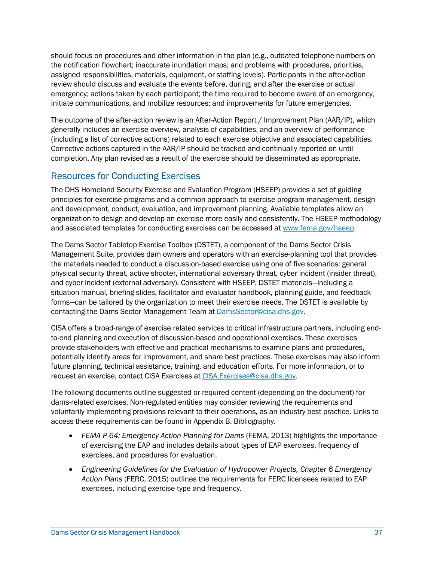should focus on procedures and other information in the plan (e.g., outdated telephone numbers on assigned responsibilities, materials, equipment, or staffing levels). Participants in the after-action review should discuss and evaluate the events before, during, and after the exercise or actual emergency; actions taken by each participant; the time required to become aware of an emergency, initiate communications, and mobilize resources; and improvements for future emergencies. the notification flowchart; inaccurate inundation maps; and problems with procedures, priorities,

 Corrective actions captured in the AAR/IP should be tracked and continually reported on until completion. Any plan revised as a result of the exercise should be disseminated as appropriate. The outcome of the after-action review is an After-Action Report / Improvement Plan (AAR/IP), which generally includes an exercise overview, analysis of capabilities, and an overview of performance (including a list of corrective actions) related to each exercise objective and associated capabilities.

### <span id="page-40-0"></span>Resources for Conducting Exercises

 The DHS Homeland Security Exercise and Evaluation Program (HSEEP) provides a set of guiding principles for exercise programs and a common approach to exercise program management, design and associated templates for conducting exercises can be accessed at [www.fema.gov/hseep.](https://www.fema.gov/hseep) and development, conduct, evaluation, and improvement planning. Available templates allow an organization to design and develop an exercise more easily and consistently. The HSEEP methodology

 The Dams Sector Tabletop Exercise Toolbox (DSTET), a component of the Dams Sector Crisis Management Suite, provides dam owners and operators with an exercise-planning tool that provides physical security threat, active shooter, international adversary threat, cyber incident (insider threat), and cyber incident (external adversary). Consistent with HSEEP, DSTET materials—including a forms—can be tailored by the organization to meet their exercise needs. The DSTET is available by the materials needed to conduct a discussion-based exercise using one of five scenarios: general situation manual, briefing slides, facilitator and evaluator handbook, planning guide, and feedback contacting the Dams Sector Management Team at [DamsSector@cisa.dhs.gov.](mailto:DamsSector@cisa.dhs.gov)

 provide stakeholders with effective and practical mechanisms to examine plans and procedures, potentially identify areas for improvement, and share best practices. These exercises may also inform CISA offers a broad-range of exercise related services to critical infrastructure partners, including endto-end planning and execution of discussion-based and operational exercises. These exercises future planning, technical assistance, training, and education efforts. For more information, or to request an exercise, contact CISA Exercises a[t CISA.Exercises@cisa.dhs.gov.](mailto:CISA.Exercises@cisa.dhs.gov)

 The following documents outline suggested or required content (depending on the document) for dams-related exercises. Non-regulated entities may consider reviewing the requirements and access these requirements can be found in Appendix B. Bibliography. voluntarily implementing provisions relevant to their operations, as an industry best practice. Links to

- of exercising the EAP and includes details about types of EAP exercises, frequency of • *FEMA P-64: Emergency Action Planning for Dams* (FEMA, 2013) highlights the importance exercises, and procedures for evaluation.
- *Engineering Guidelines for the Evaluation of Hydropower Projects, Chapter 6 Emergency Action Plans* (FERC, 2015) outlines the requirements for FERC licensees related to EAP exercises, including exercise type and frequency.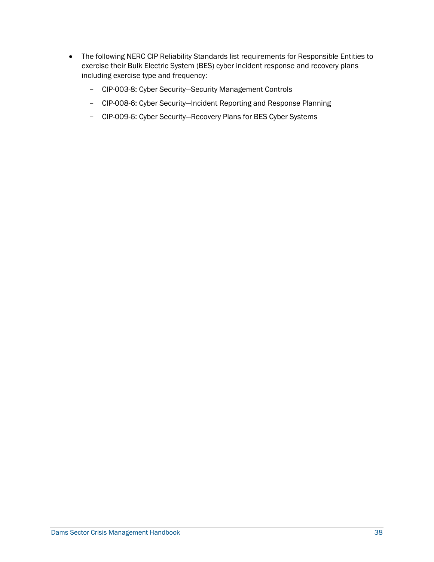- <span id="page-41-0"></span>• The following NERC CIP Reliability Standards list requirements for Responsible Entities to exercise their Bulk Electric System (BES) cyber incident response and recovery plans including exercise type and frequency:
	- CIP-003-8: Cyber Security—Security Management Controls
	- CIP-008-6: Cyber Security—Incident Reporting and Response Planning
	- CIP-009-6: Cyber Security—Recovery Plans for BES Cyber Systems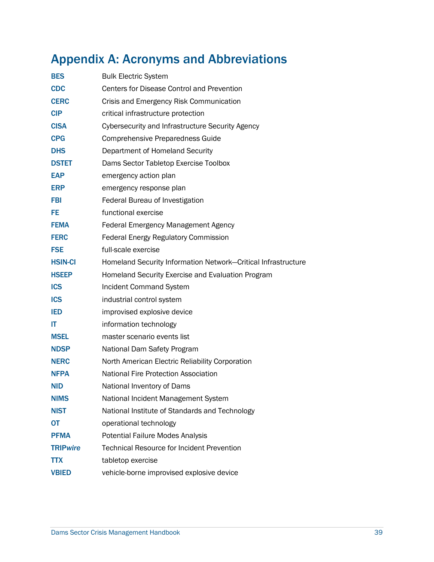# Appendix A: Acronyms and Abbreviations

| <b>BES</b>      | <b>Bulk Electric System</b>                                   |
|-----------------|---------------------------------------------------------------|
| <b>CDC</b>      | <b>Centers for Disease Control and Prevention</b>             |
| <b>CERC</b>     | Crisis and Emergency Risk Communication                       |
| <b>CIP</b>      | critical infrastructure protection                            |
| <b>CISA</b>     | Cybersecurity and Infrastructure Security Agency              |
| <b>CPG</b>      | <b>Comprehensive Preparedness Guide</b>                       |
| <b>DHS</b>      | Department of Homeland Security                               |
| <b>DSTET</b>    | Dams Sector Tabletop Exercise Toolbox                         |
| <b>EAP</b>      | emergency action plan                                         |
| <b>ERP</b>      | emergency response plan                                       |
| <b>FBI</b>      | Federal Bureau of Investigation                               |
| FE.             | functional exercise                                           |
| <b>FEMA</b>     | <b>Federal Emergency Management Agency</b>                    |
| <b>FERC</b>     | <b>Federal Energy Regulatory Commission</b>                   |
| <b>FSE</b>      | full-scale exercise                                           |
| <b>HSIN-CI</b>  | Homeland Security Information Network-Critical Infrastructure |
| <b>HSEEP</b>    | Homeland Security Exercise and Evaluation Program             |
| <b>ICS</b>      | Incident Command System                                       |
| <b>ICS</b>      | industrial control system                                     |
| <b>IED</b>      | improvised explosive device                                   |
| IT              | information technology                                        |
| <b>MSEL</b>     | master scenario events list                                   |
| <b>NDSP</b>     | National Dam Safety Program                                   |
| <b>NERC</b>     | North American Electric Reliability Corporation               |
| <b>NFPA</b>     | <b>National Fire Protection Association</b>                   |
| <b>NID</b>      | National Inventory of Dams                                    |
| <b>NIMS</b>     | National Incident Management System                           |
| <b>NIST</b>     | National Institute of Standards and Technology                |
| <b>OT</b>       | operational technology                                        |
| <b>PFMA</b>     | <b>Potential Failure Modes Analysis</b>                       |
| <b>TRIPwire</b> | <b>Technical Resource for Incident Prevention</b>             |
| <b>TTX</b>      | tabletop exercise                                             |
| <b>VBIED</b>    | vehicle-borne improvised explosive device                     |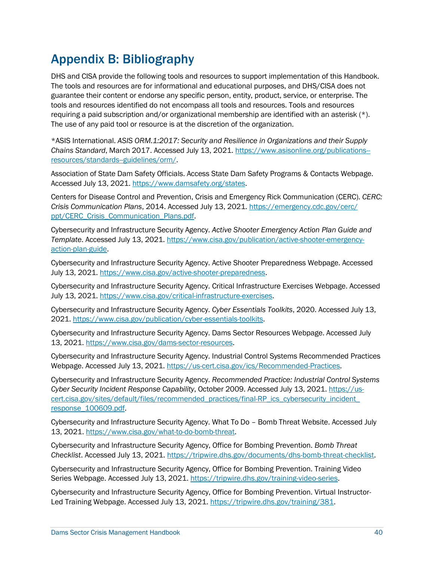# <span id="page-43-0"></span>Appendix B: Bibliography

 DHS and CISA provide the following tools and resources to support implementation of this Handbook. The tools and resources are for informational and educational purposes, and DHS/CISA does not guarantee their content or endorse any specific person, entity, product, service, or enterprise. The tools and resources identified do not encompass all tools and resources. Tools and resources requiring a paid subscription and/or organizational membership are identified with an asterisk (\*). The use of any paid tool or resource is at the discretion of the organization.

 \*ASIS International. *ASIS ORM.1:2017: Security and Resilience in Organizations and their Supply Chains Standard*, March 2017. Accessed July 13, 2021. [https://www.asisonline.org/publications-](https://www.asisonline.org/publications--resources/standards--guidelines/orm/) [resources/standards--guidelines/orm/.](https://www.asisonline.org/publications--resources/standards--guidelines/orm/)

 Association of State Dam Safety Officials. Access State Dam Safety Programs & Contacts Webpage. Accessed July 13, 2021. [https://www.damsafety.org/states.](https://www.damsafety.org/states)

 Centers for Disease Control and Prevention, Crisis and Emergency Rick Communication (CERC). *CERC: Crisis Communication Plans*, 2014. Accessed July 13, 2021[. https://emergency.cdc.gov/cerc/](https://emergency.cdc.gov/cerc/ppt/CERC_Crisis_Communication_Plans.pdf)  [ppt/CERC\\_Crisis\\_Communication\\_Plans.pdf.](https://emergency.cdc.gov/cerc/ppt/CERC_Crisis_Communication_Plans.pdf)

 Cybersecurity and Infrastructure Security Agency. *Active Shooter Emergency Action Plan Guide and Template*. Accessed July 13, 2021. [https://www.cisa.gov/publication/active-shooter-emergency](https://www.cisa.gov/publication/active-shooter-emergency-action-plan-guide)[action-plan-guide.](https://www.cisa.gov/publication/active-shooter-emergency-action-plan-guide)

 Cybersecurity and Infrastructure Security Agency. Active Shooter Preparedness Webpage. Accessed July 13, 2021. [https://www.cisa.gov/active-shooter-preparedness.](https://www.cisa.gov/active-shooter-preparedness)

Cybersecurity and Infrastructure Security Agency. Critical Infrastructure Exercises Webpage. Accessed July 13, 2021. [https://www.cisa.gov/critical-infrastructure-exercises.](https://www.cisa.gov/critical-infrastructure-exercises)

Cybersecurity and Infrastructure Security Agency. *Cyber Essentials Toolkits*, 2020. Accessed July 13, 2021. [https://www.cisa.gov/publication/cyber-essentials-toolkits.](https://www.cisa.gov/publication/cyber-essentials-toolkits)

Cybersecurity and Infrastructure Security Agency. Dams Sector Resources Webpage. Accessed July 13, 2021. [https://www.cisa.gov/dams-sector-resources.](https://www.cisa.gov/dams-sector-resources)

 Cybersecurity and Infrastructure Security Agency. Industrial Control Systems Recommended Practices Webpage. Accessed July 13, 2021. [https://us-cert.cisa.gov/ics/Recommended-Practices.](https://us-cert.cisa.gov/ics/Recommended-Practices)

response 100609.pdf. Cybersecurity and Infrastructure Security Agency. *Recommended Practice: Industrial Control Systems Cyber Security Incident Response Capability*, October 2009. Accessed July 13, 2021. [https://us](https://us-cert.cisa.gov/sites/default/files/recommended_practices/final-RP_ics_cybersecurity_incident_response_100609.pdf)[cert.cisa.gov/sites/default/files/recommended\\_practices/final-RP\\_ics\\_cybersecurity\\_incident\\_](https://us-cert.cisa.gov/sites/default/files/recommended_practices/final-RP_ics_cybersecurity_incident_response_100609.pdf) 

<u>response\_100609.pdf</u>.<br>Cybersecurity and Infrastructure Security Agency. What To Do – Bomb Threat Website. Accessed July 13, 2021. [https://www.cisa.gov/what-to-do-bomb-threat.](https://www.cisa.gov/what-to-do-bomb-threat)

 Cybersecurity and Infrastructure Security Agency, Office for Bombing Prevention. *Bomb Threat Checklist*. Accessed July 13, 2021[. https://tripwire.dhs.gov/documents/dhs-bomb-threat-checklist.](https://tripwire.dhs.gov/documents/dhs-bomb-threat-checklist)

 Cybersecurity and Infrastructure Security Agency, Office for Bombing Prevention. Training Video Series Webpage. Accessed July 13, 2021[. https://tripwire.dhs.gov/training-video-series.](https://tripwire.dhs.gov/training-video-series)

 Cybersecurity and Infrastructure Security Agency, Office for Bombing Prevention. Virtual Instructor-Led Training Webpage. Accessed July 13, 2021[. https://tripwire.dhs.gov/training/381.](https://tripwire.dhs.gov/training/381)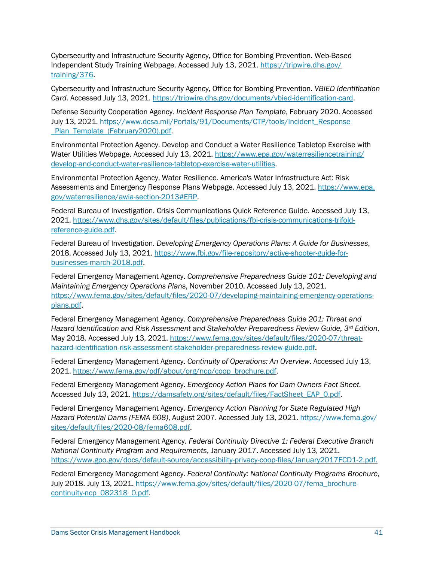Cybersecurity and Infrastructure Security Agency, Office for Bombing Prevention. Web-Based Independent Study Training Webpage. Accessed July 13, 2021. [https://tripwire.dhs.gov/](https://tripwire.dhs.gov/training/376)  [training/376.](https://tripwire.dhs.gov/training/376)

Cybersecurity and Infrastructure Security Agency, Office for Bombing Prevention. *VBIED Identification Card*. Accessed July 13, 2021. [https://tripwire.dhs.gov/documents/vbied-identification-card.](https://tripwire.dhs.gov/documents/vbied-identification-card)

Defense Security Cooperation Agency. *Incident Response Plan Template*, February 2020. Accessed July 13, 2021. [https://www.dcsa.mil/Portals/91/Documents/CTP/tools/Incident\\_Response](https://www.dcsa.mil/Portals/91/Documents/CTP/tools/Incident_Response_Plan_Template_(February2020).pdf)  [\\_Plan\\_Template\\_\(February2020\).pdf.](https://www.dcsa.mil/Portals/91/Documents/CTP/tools/Incident_Response_Plan_Template_(February2020).pdf)

Environmental Protection Agency. Develop and Conduct a Water Resilience Tabletop Exercise with Water Utilities Webpage. Accessed July 13, 2021. [https://www.epa.gov/waterresiliencetraining/](https://www.epa.gov/waterresiliencetraining/develop-and-conduct-water-resilience-tabletop-exercise-water-utilities)  [develop-and-conduct-water-resilience-tabletop-exercise-water-utilities.](https://www.epa.gov/waterresiliencetraining/develop-and-conduct-water-resilience-tabletop-exercise-water-utilities)

Environmental Protection Agency, Water Resilience. America's Water Infrastructure Act: Risk Assessments and Emergency Response Plans Webpage. Accessed July 13, 2021. https://www.epa. [gov/waterresilience/awia-section-2013#ERP.](https://www.epa.gov/waterresilience/awia-section-2013#ERP)

Federal Bureau of Investigation. Crisis Communications Quick Reference Guide. Accessed July 13, 2021. [https://www.dhs.gov/sites/default/files/publications/fbi-crisis-communications-trifold](https://www.dhs.gov/sites/default/files/publications/fbi-crisis-communications-trifold-reference-guide.pdf)[reference-guide.pdf.](https://www.dhs.gov/sites/default/files/publications/fbi-crisis-communications-trifold-reference-guide.pdf)

2018. Accessed July 13, 2021. <u>https://www.fbi.gov/file-repository/active-shooter-guide-for-</u> Federal Bureau of Investigation. *Developing Emergency Operations Plans: A Guide for Businesses*, [businesses-march-2018.pdf.](https://www.fbi.gov/file-repository/active-shooter-guide-for-businesses-march-2018.pdf)

 *Maintaining Emergency Operations Plans*, November 2010. Accessed July 13, 2021. Federal Emergency Management Agency. *Comprehensive Preparedness Guide 101: Developing and*  [https://www.fema.gov/sites/default/files/2020-07/developing-maintaining-emergency-operations](https://www.fema.gov/sites/default/files/2020-07/developing-maintaining-emergency-operations-plans.pdf)[plans.pdf.](https://www.fema.gov/sites/default/files/2020-07/developing-maintaining-emergency-operations-plans.pdf)

Federal Emergency Management Agency. *Comprehensive Preparedness Guide 201: Threat and Hazard Identification and Risk Assessment and Stakeholder Preparedness Review Guide, 3rd Edition*, May 2018. Accessed July 13, 2021[. https://www.fema.gov/sites/default/files/2020-07/threat](https://www.fema.gov/sites/default/files/2020-07/threat-hazard-identification-risk-assessment-stakeholder-preparedness-review-guide.pdf)[hazard-identification-risk-assessment-stakeholder-preparedness-review-guide.pdf.](https://www.fema.gov/sites/default/files/2020-07/threat-hazard-identification-risk-assessment-stakeholder-preparedness-review-guide.pdf)

Federal Emergency Management Agency. *Continuity of Operations: An Overview*. Accessed July 13, 2021. [https://www.fema.gov/pdf/about/org/ncp/coop\\_brochure.pdf.](https://www.fema.gov/pdf/about/org/ncp/coop_brochure.pdf)

Federal Emergency Management Agency. *Emergency Action Plans for Dam Owners Fact Sheet.*  Accessed July 13, 2021. [https://damsafety.org/sites/default/files/FactSheet\\_EAP\\_0.pdf.](https://damsafety.org/sites/default/files/FactSheet_EAP_0.pdf)

Federal Emergency Management Agency. *Emergency Action Planning for State Regulated High Hazard Potential Dams (FEMA 608)*, August 2007. Accessed July 13, 2021. [https://www.fema.gov/](https://www.fema.gov/sites/default/files/2020-08/fema608.pdf)  [sites/default/files/2020-08/fema608.pdf.](https://www.fema.gov/sites/default/files/2020-08/fema608.pdf)

https://www.gpo.gov/docs/default-source/accessibility-privacy-coop-files/January2017FCD1-2.pdf. Federal Emergency Management Agency. *Federal Continuity Directive 1: Federal Executive Branch National Continuity Program and Requirements*, January 2017. Accessed July 13, 2021.

[https://www.gpo.gov/docs/default-source/accessibility-privacy-coop-files/January2017FCD1-2.pdf.](https://www.gpo.gov/docs/default-source/accessibility-privacy-coop-files/January2017FCD1-2.pdf) Federal Emergency Management Agency. *Federal Continuity: National Continuity Programs Brochure*, July 2018. July 13, 2021[. https://www.fema.gov/sites/default/files/2020-07/fema\\_brochure](https://www.fema.gov/sites/default/files/2020-07/fema_brochure-continuity-ncp_082318_0.pdf)[continuity-ncp\\_082318\\_0.pdf.](https://www.fema.gov/sites/default/files/2020-07/fema_brochure-continuity-ncp_082318_0.pdf)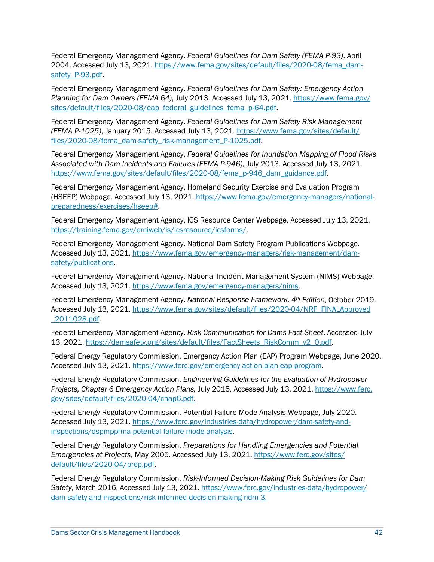Federal Emergency Management Agency. *Federal Guidelines for Dam Safety (FEMA P-93)*, April 2004. Accessed July 13, 2021. [https://www.fema.gov/sites/default/files/2020-08/fema\\_dam](https://www.fema.gov/sites/default/files/2020-08/fema_dam-safety_P-93.pdf)[safety\\_P-93.pdf.](https://www.fema.gov/sites/default/files/2020-08/fema_dam-safety_P-93.pdf)

Federal Emergency Management Agency. *Federal Guidelines for Dam Safety: Emergency Action Planning for Dam Owners (FEMA 64)*, July 2013. Accessed July 13, 2021. [https://www.fema.gov/](https://www.fema.gov/sites/default/files/2020-08/eap_federal_guidelines_fema_p-64.pdf)  [sites/default/files/2020-08/eap\\_federal\\_guidelines\\_fema\\_p-64.pdf.](https://www.fema.gov/sites/default/files/2020-08/eap_federal_guidelines_fema_p-64.pdf)

Federal Emergency Management Agency. *Federal Guidelines for Dam Safety Risk Management (FEMA P-1025)*, January 2015. Accessed July 13, 2021. [https://www.fema.gov/sites/default/](https://www.fema.gov/sites/default/files/2020-08/fema_dam-safety_risk-management_P-1025.pdf)  [files/2020-08/fema\\_dam-safety\\_risk-management\\_P-1025.pdf.](https://www.fema.gov/sites/default/files/2020-08/fema_dam-safety_risk-management_P-1025.pdf)

Federal Emergency Management Agency. *Federal Guidelines for Inundation Mapping of Flood Risks Associated with Dam Incidents and Failures (FEMA P-946)*, July 2013. Accessed July 13, 2021. [https://www.fema.gov/sites/default/files/2020-08/fema\\_p-946\\_dam\\_guidance.pdf.](https://www.fema.gov/sites/default/files/2020-08/fema_p-946_dam_guidance.pdf)

Federal Emergency Management Agency. Homeland Security Exercise and Evaluation Program (HSEEP) Webpage. Accessed July 13, 2021. [https://www.fema.gov/emergency-managers/national](https://www.fema.gov/emergency-managers/national-preparedness/exercises/hseep)[preparedness/exercises/hseep#.](https://www.fema.gov/emergency-managers/national-preparedness/exercises/hseep)

Federal Emergency Management Agency. ICS Resource Center Webpage. Accessed July 13, 2021. [https://training.fema.gov/emiweb/is/icsresource/icsforms/.](https://training.fema.gov/emiweb/is/icsresource/icsforms/)

 Federal Emergency Management Agency. National Dam Safety Program Publications Webpage. Accessed July 13, 2021. [https://www.fema.gov/emergency-managers/risk-management/dam](https://www.fema.gov/emergency-managers/risk-management/dam-safety/publications)[safety/publications.](https://www.fema.gov/emergency-managers/risk-management/dam-safety/publications)

Federal Emergency Management Agency. National Incident Management System (NIMS) Webpage. Accessed July 13, 2021. [https://www.fema.gov/emergency-managers/nims.](https://www.fema.gov/emergency-managers/nims)

Federal Emergency Management Agency. *National Response Framework, 4th Edition*, October 2019. Accessed July 13, 2021. [https://www.fema.gov/sites/default/files/2020-04/NRF\\_FINALApproved](https://www.fema.gov/sites/default/files/2020-04/NRF_FINALApproved_2011028.pdf)  [\\_2011028.pdf.](https://www.fema.gov/sites/default/files/2020-04/NRF_FINALApproved_2011028.pdf)

Federal Emergency Management Agency. *Risk Communication for Dams Fact Sheet*. Accessed July 13, 2021. [https://damsafety.org/sites/default/files/FactSheets\\_RiskComm\\_v2\\_0.pdf.](https://damsafety.org/sites/default/files/FactSheets_RiskComm_v2_0.pdf)

Federal Energy Regulatory Commission. Emergency Action Plan (EAP) Program Webpage, June 2020. Accessed July 13, 2021. [https://www.ferc.gov/emergency-action-plan-eap-program.](https://www.ferc.gov/emergency-action-plan-eap-program)

Federal Energy Regulatory Commission. *Engineering Guidelines for the Evaluation of Hydropower Projects, Chapter 6 Emergency Action Plans,* July 2015. Accessed July 13, 2021[. https://www.ferc.](https://www.ferc.gov/sites/default/files/2020-04/chap6.pdf)  [gov/sites/default/files/2020-04/chap6.pdf.](https://www.ferc.gov/sites/default/files/2020-04/chap6.pdf)

Federal Energy Regulatory Commission. Potential Failure Mode Analysis Webpage, July 2020. Accessed July 13, 2021. [https://www.ferc.gov/industries-data/hydropower/dam-safety-and](https://www.ferc.gov/industries-data/hydropower/dam-safety-and-inspections/dspmppfma-potential-failure-mode-analysis)[inspections/dspmppfma-potential-failure-mode-analysis.](https://www.ferc.gov/industries-data/hydropower/dam-safety-and-inspections/dspmppfma-potential-failure-mode-analysis)

 *Emergencies at Projects*, May 2005. Accessed July 13, 2021. [https://www.ferc.gov/sites/](https://www.ferc.gov/sites/default/files/2020-04/prep.pdf)  Federal Energy Regulatory Commission. *Preparations for Handling Emergencies and Potential*  [default/files/2020-04/prep.pdf.](https://www.ferc.gov/sites/default/files/2020-04/prep.pdf)

 *Safety*, March 2016. Accessed July 13, 2021. [https://www.ferc.gov/industries-data/hydropower/](https://www.ferc.gov/industries-data/hydropower/dam-safety-and-inspections/risk-informed-decision-making-ridm-3)  dam-safety-and-inspections/risk-informed-decision-making-ridm-3. Federal Energy Regulatory Commission. *Risk-Informed Decision-Making Risk Guidelines for Dam*  [dam-safety-and-inspections/risk-informed-decision-making-ridm-3.](https://www.ferc.gov/industries-data/hydropower/dam-safety-and-inspections/risk-informed-decision-making-ridm-3)<br>Dams Sector Crisis Management Handbook 42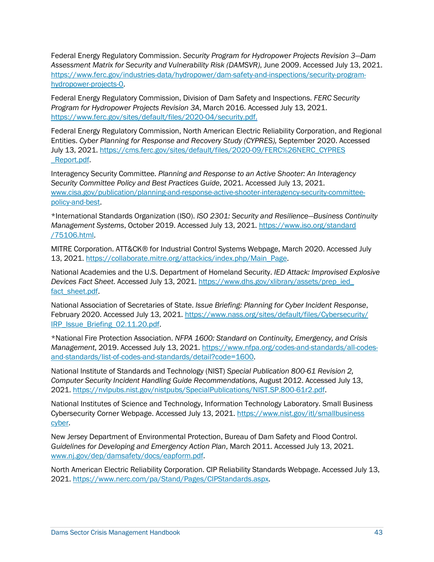Federal Energy Regulatory Commission. *Security Program for Hydropower Projects Revision 3—Dam Assessment Matrix for Security and Vulnerability Risk (DAMSVR)*, June 2009. Accessed July 13, 2021. [https://www.ferc.gov/industries-data/hydropower/dam-safety-and-inspections/security-program](https://www.ferc.gov/industries-data/hydropower/dam-safety-and-inspections/security-program-hydropower-projects-0)[hydropower-projects-0.](https://www.ferc.gov/industries-data/hydropower/dam-safety-and-inspections/security-program-hydropower-projects-0)

https://www.ferc.gov/sites/default/files/2020-04/security.pdf. Federal Energy Regulatory Commission, Division of Dam Safety and Inspections. *FERC Security Program for Hydropower Projects Revision 3A*, March 2016. Accessed July 13, 2021.

Federal Energy Regulatory Commission, North American Electric Reliability Corporation, and Regional Entities. *Cyber Planning for Response and Recovery Study (CYPRES),* September 2020. Accessed July 13, 2021. [https://cms.ferc.gov/sites/default/files/2020-09/FERC%26NERC\\_CYPRES](https://cms.ferc.gov/sites/default/files/2020-09/FERC%26NERC_CYPRES_Report.pdf)  [\\_Report.pdf.](https://cms.ferc.gov/sites/default/files/2020-09/FERC%26NERC_CYPRES_Report.pdf)

 Interagency Security Committee. *Planning and Response to an Active Shooter: An Interagency Security Committee Policy and Best Practices Guide*, 2021. Accessed July 13, 2021. [www.cisa.gov/publication/planning-and-response-active-shooter-interagency-security-committee](http://www.cisa.gov/publication/planning-and-response-active-shooter-interagency-security-committee-policy-and-best)[policy-and-best.](http://www.cisa.gov/publication/planning-and-response-active-shooter-interagency-security-committee-policy-and-best)

\*International Standards Organization (ISO). *ISO 2301: Security and Resilience—Business Continuity Management Systems*, October 2019. Accessed July 13, 2021. [https://www.iso.org/standard](https://www.iso.org/standard/75106.html)  [/75106.html.](https://www.iso.org/standard/75106.html)

MITRE Corporation. ATT&CK® for Industrial Control Systems Webpage, March 2020. Accessed July 13, 2021. [https://collaborate.mitre.org/attackics/index.php/Main\\_Page.](https://collaborate.mitre.org/attackics/index.php/Main_Page)

 National Academies and the U.S. Department of Homeland Security. *IED Attack: Improvised Explosive Devices Fact Sheet*. Accessed July 13, 2021. [https://www.dhs.gov/xlibrary/assets/prep\\_ied\\_](https://www.dhs.gov/xlibrary/assets/prep_ied_fact_sheet.pdf)  [fact\\_sheet.pdf.](https://www.dhs.gov/xlibrary/assets/prep_ied_fact_sheet.pdf)

 National Association of Secretaries of State. *Issue Briefing: Planning for Cyber Incident Response*, February 2020. Accessed July 13, 2021. [https://www.nass.org/sites/default/files/Cybersecurity/](https://www.nass.org/sites/default/files/Cybersecurity/IRP_Issue_Briefing_02.11.20.pdf)  [IRP\\_Issue\\_Briefing\\_02.11.20.pdf.](https://www.nass.org/sites/default/files/Cybersecurity/IRP_Issue_Briefing_02.11.20.pdf)

 \*National Fire Protection Association. *[NFPA 1600:](http://www.nfpa.org/aboutthecodes/AboutTheCodes.asp?DocNum=1600&cookie%5Ftest=1) Standard on Continuity, Emergency, and Crisis Management*, 2019. Accessed July 13, 2021. [https://www.nfpa.org/codes-and-standards/all-codes](https://www.nfpa.org/codes-and-standards/all-codes-and-standards/list-of-codes-and-standards/detail?code=1600)[and-standards/list-of-codes-and-standards/detail?code=1600.](https://www.nfpa.org/codes-and-standards/all-codes-and-standards/list-of-codes-and-standards/detail?code=1600)

 National Institute of Standards and Technology (NIST) *Special Publication 800-61 Revision 2, Computer Security Incident Handling Guide Recommendations*, August 2012. Accessed July 13, 2021. [https://nvlpubs.nist.gov/nistpubs/SpecialPublications/NIST.SP.800-61r2.pdf.](https://nvlpubs.nist.gov/nistpubs/SpecialPublications/NIST.SP.800-61r2.pdf)

National Institutes of Science and Technology, Information Technology Laboratory. Small Business Cybersecurity Corner Webpage. Accessed July 13, 2021. https://www.nist.gov/itl/smallbusiness [cyber.](https://www.nist.gov/itl/smallbusinesscyber)

 New Jersey Department of Environmental Protection, Bureau of Dam Safety and Flood Control. *Guidelines for Developing and Emergency Action Plan*, March 2011. Accessed July 13, 2021. [www.nj.gov/dep/damsafety/docs/eapform.pdf.](http://www.nj.gov/dep/damsafety/docs/eapform.pdf)

North American Electric Reliability Corporation. CIP Reliability Standards Webpage. Accessed July 13, 2021. [https://www.nerc.com/pa/Stand/Pages/CIPStandards.aspx.](https://www.nerc.com/pa/Stand/Pages/CIPStandards.aspx)